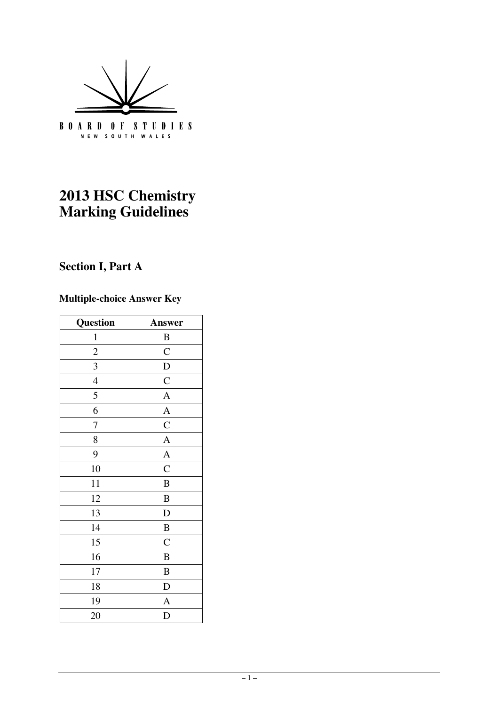

# **2013 HSC Chemistry Marking Guidelines**

# **Section I, Part A**

# **Multiple-choice Answer Key**

| Question            | Answer           |
|---------------------|------------------|
| $\mathbf{1}$        | $\boldsymbol{B}$ |
| $\overline{c}$      | $\mathbf C$      |
| 3                   | $\mathbf D$      |
| $\overline{4}$      | $\mathbf C$      |
| 5                   | $\overline{A}$   |
| 6                   | $\overline{A}$   |
| 7                   | $\mathbf C$      |
| 8                   | $\mathbf{A}$     |
| $\overline{A}$<br>9 |                  |
| 10                  | $\overline{C}$   |
| 11                  | $\, {\bf B}$     |
| 12                  | $\bf{B}$         |
| 13                  | $\mathbf D$      |
| 14                  | $\, {\bf B}$     |
| 15                  | $\mathbf C$      |
| 16                  | $\, {\bf B}$     |
| 17                  | $\, {\bf B}$     |
| 18                  | $\mathbf D$      |
| 19                  | $\mathbf{A}$     |
| 20                  | $\mathbf D$      |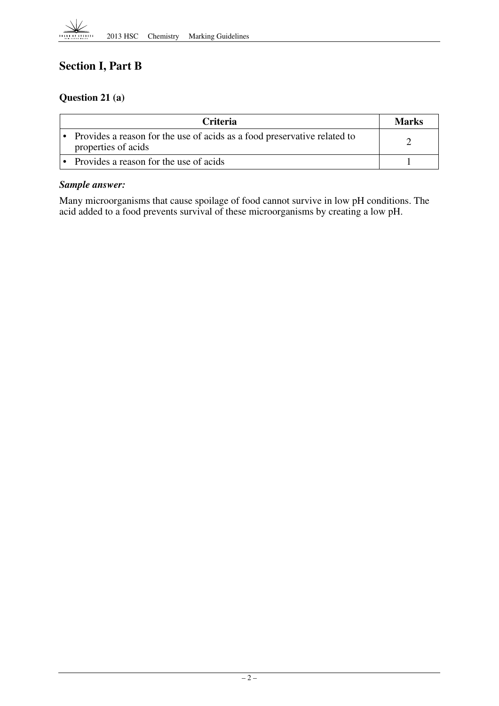

# **Section I, Part B**

## **Question 21 (a)**

| <b>Criteria</b>                                                                                   | <b>Marks</b> |
|---------------------------------------------------------------------------------------------------|--------------|
| • Provides a reason for the use of acids as a food preservative related to<br>properties of acids |              |
| • Provides a reason for the use of acids                                                          |              |

#### *Sample answer:*

Many microorganisms that cause spoilage of food cannot survive in low pH conditions. The acid added to a food prevents survival of these microorganisms by creating a low pH.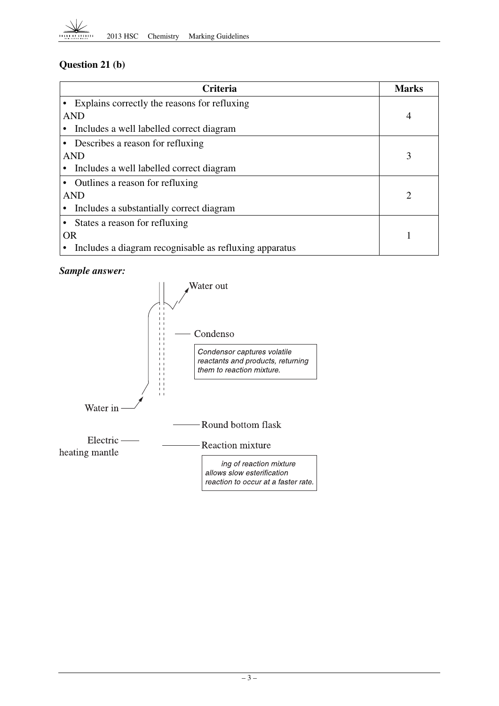## **Question 21 (b)**

| <b>Criteria</b>                                        | <b>Marks</b> |
|--------------------------------------------------------|--------------|
| • Explains correctly the reasons for refluxing         |              |
| AND                                                    | 4            |
| Includes a well labelled correct diagram               |              |
| • Describes a reason for refluxing                     |              |
| <b>AND</b>                                             | 3            |
| Includes a well labelled correct diagram               |              |
| • Outlines a reason for refluxing                      |              |
| AND                                                    | 2            |
| Includes a substantially correct diagram               |              |
| • States a reason for refluxing                        |              |
| <b>OR</b>                                              |              |
| Includes a diagram recognisable as refluxing apparatus |              |

## *Sample answer:*

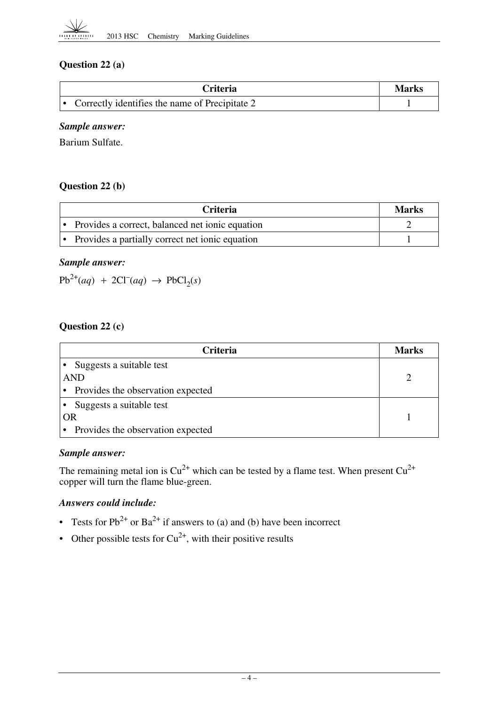

## **Question 22 (a)**

| Criteria                                         | Marks |
|--------------------------------------------------|-------|
| • Correctly identifies the name of Precipitate 2 |       |

#### *Sample answer:*

Barium Sulfate.

## **Question 22 (b)**

| <b>Criteria</b>                                   | Marks |
|---------------------------------------------------|-------|
| • Provides a correct, balanced net ionic equation |       |
| • Provides a partially correct net ionic equation |       |

#### *Sample answer:*

 $Pb^{2+}(aq) + 2Cl^{-}(aq) \rightarrow PbCl_{2}(s)$ 

## **Question 22 (c)**

| <b>Criteria</b>                     | <b>Marks</b> |
|-------------------------------------|--------------|
| Suggests a suitable test            |              |
| <b>AND</b>                          |              |
| • Provides the observation expected |              |
| Suggests a suitable test            |              |
| <b>OR</b>                           |              |
| • Provides the observation expected |              |

## *Sample answer:*

The remaining metal ion is  $Cu^{2+}$  which can be tested by a flame test. When present  $Cu^{2+}$ copper will turn the flame blue-green.

## *Answers could include:*

- Tests for  $Pb^{2+}$  or  $Ba^{2+}$  if answers to (a) and (b) have been incorrect
- Other possible tests for  $Cu^{2+}$ , with their positive results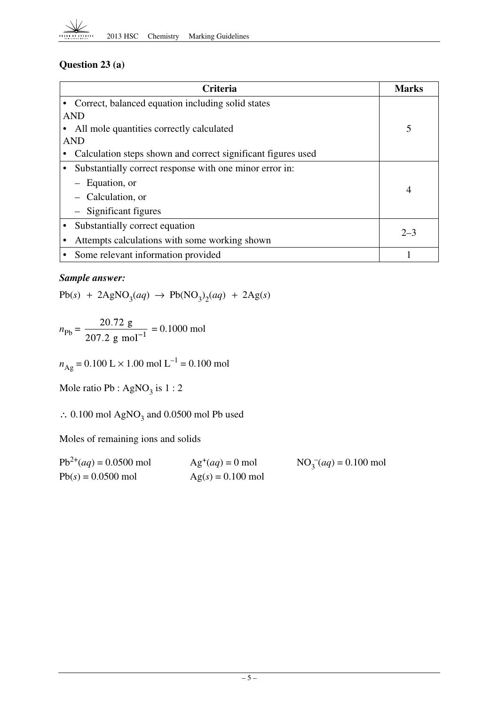

## **Question 23 (a)**

| Criteria                                                     | Marks          |
|--------------------------------------------------------------|----------------|
| Correct, balanced equation including solid states            |                |
| <b>AND</b>                                                   |                |
| All mole quantities correctly calculated                     | 5              |
| <b>AND</b>                                                   |                |
| Calculation steps shown and correct significant figures used |                |
| Substantially correct response with one minor error in:      |                |
| Equation, or                                                 | $\overline{4}$ |
| Calculation, or                                              |                |
| $-$ Significant figures                                      |                |
| Substantially correct equation                               | $2 - 3$        |
| Attempts calculations with some working shown                |                |
| Some relevant information provided                           |                |

## *Sample answer:*

 $Pb(s)$  + 2AgNO<sub>3</sub>(*aq*)  $\rightarrow$   $Pb(NO_3)_2(aq)$  + 2Ag(*s*)

$$
n_{\text{Pb}} = \frac{20.72 \text{ g}}{207.2 \text{ g mol}^{-1}} = 0.1000 \text{ mol}
$$

 $n_{\text{Ag}} = 0.100 \text{ L} \times 1.00 \text{ mol L}^{-1} = 0.100 \text{ mol}$ 

Mole ratio Pb :  $AgNO<sub>3</sub>$  is 1 : 2

∴ 0.100 mol AgNO<sub>3</sub> and 0.0500 mol Pb used

Moles of remaining ions and solids

| $Pb^{2+}(aq) = 0.0500$ mol | $Ag^+(aq) = 0$ mol  | $NO_3$ <sup>-</sup> $(aq)$ = 0.100 mol |
|----------------------------|---------------------|----------------------------------------|
| $Pb(s) = 0.0500$ mol       | $Ag(s) = 0.100$ mol |                                        |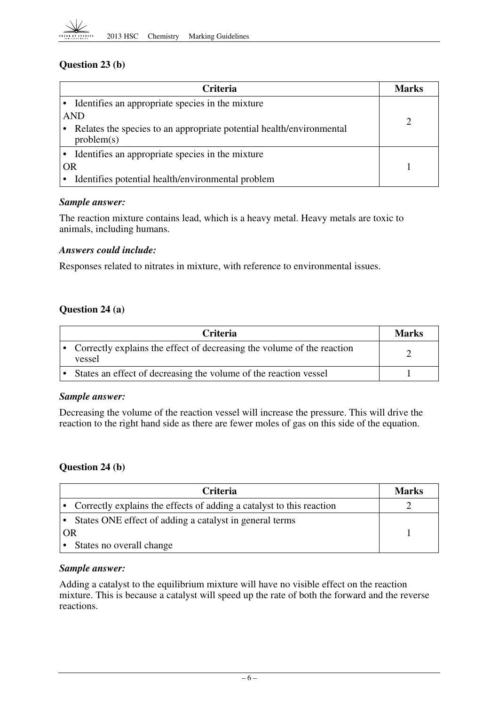

## **Question 23 (b)**

| <b>Criteria</b>                                                                    | Marks |
|------------------------------------------------------------------------------------|-------|
| Identifies an appropriate species in the mixture                                   |       |
| <b>AND</b>                                                                         |       |
| Relates the species to an appropriate potential health/environmental<br>problem(s) |       |
| Identifies an appropriate species in the mixture                                   |       |
| <b>OR</b>                                                                          |       |
| Identifies potential health/environmental problem                                  |       |

#### *Sample answer:*

The reaction mixture contains lead, which is a heavy metal. Heavy metals are toxic to animals, including humans.

#### *Answers could include:*

Responses related to nitrates in mixture, with reference to environmental issues.

#### **Question 24 (a)**

| <b>Criteria</b>                                                                  | <b>Marks</b> |
|----------------------------------------------------------------------------------|--------------|
| Correctly explains the effect of decreasing the volume of the reaction<br>vessel |              |
| States an effect of decreasing the volume of the reaction vessel                 |              |

#### *Sample answer:*

Decreasing the volume of the reaction vessel will increase the pressure. This will drive the reaction to the right hand side as there are fewer moles of gas on this side of the equation.

#### **Question 24 (b)**

| <b>Criteria</b>                                                        | <b>Marks</b> |
|------------------------------------------------------------------------|--------------|
| • Correctly explains the effects of adding a catalyst to this reaction |              |
| • States ONE effect of adding a catalyst in general terms              |              |
| OR                                                                     |              |
| States no overall change                                               |              |

#### *Sample answer:*

Adding a catalyst to the equilibrium mixture will have no visible effect on the reaction mixture. This is because a catalyst will speed up the rate of both the forward and the reverse reactions.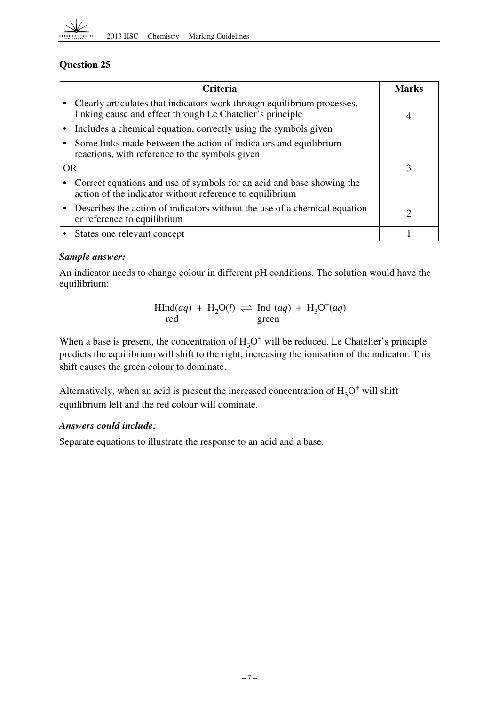

|           | <b>Criteria</b>                                                                                                                        | Marks          |
|-----------|----------------------------------------------------------------------------------------------------------------------------------------|----------------|
|           | • Clearly articulates that indicators work through equilibrium processes,<br>linking cause and effect through Le Chatelier's principle | $\overline{4}$ |
|           | Includes a chemical equation, correctly using the symbols given                                                                        |                |
|           | • Some links made between the action of indicators and equilibrium<br>reactions, with reference to the symbols given                   |                |
| <b>OR</b> |                                                                                                                                        | 3              |
|           | Correct equations and use of symbols for an acid and base showing the<br>action of the indicator without reference to equilibrium      |                |
|           | Describes the action of indicators without the use of a chemical equation<br>or reference to equilibrium                               | 2              |
|           | States one relevant concept                                                                                                            |                |

## *Sample answer:*

An indicator needs to change colour in different pH conditions. The solution would have the equilibrium:

$$
\text{HInd}(aq) + \text{H}_2\text{O}(l) \rightleftharpoons \text{Ind}^-(aq) + \text{H}_3\text{O}^+(aq)
$$
  
red

When a base is present, the concentration of  $H_3O^+$  will be reduced. Le Chatelier's principle predicts the equilibrium will shift to the right, increasing the ionisation of the indicator. This shift causes the green colour to dominate.

Alternatively, when an acid is present the increased concentration of  $H_3O^+$  will shift equilibrium left and the red colour will dominate.

## *Answers could include:*

Separate equations to illustrate the response to an acid and a base.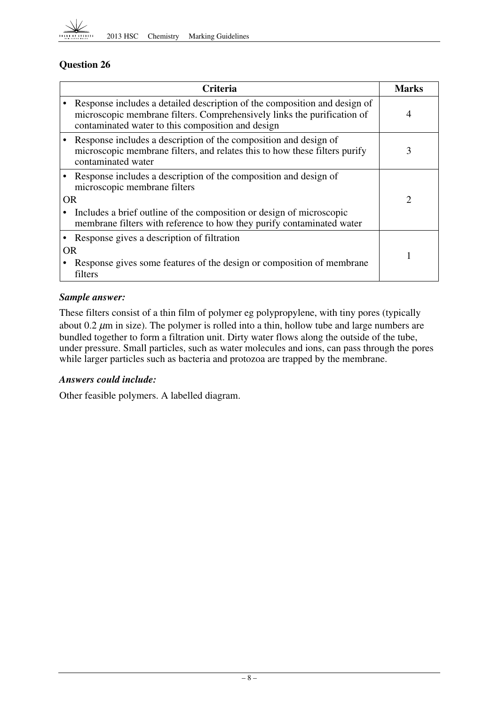

|           | <b>Criteria</b>                                                                                                                                                                                           |                |  |
|-----------|-----------------------------------------------------------------------------------------------------------------------------------------------------------------------------------------------------------|----------------|--|
|           | Response includes a detailed description of the composition and design of<br>microscopic membrane filters. Comprehensively links the purification of<br>contaminated water to this composition and design | $\overline{4}$ |  |
|           | Response includes a description of the composition and design of<br>microscopic membrane filters, and relates this to how these filters purify<br>contaminated water                                      | 3              |  |
|           | Response includes a description of the composition and design of<br>microscopic membrane filters                                                                                                          |                |  |
|           | OR                                                                                                                                                                                                        |                |  |
|           | Includes a brief outline of the composition or design of microscopic<br>membrane filters with reference to how they purify contaminated water                                                             |                |  |
|           | Response gives a description of filtration                                                                                                                                                                |                |  |
| <b>OR</b> |                                                                                                                                                                                                           |                |  |
|           | Response gives some features of the design or composition of membrane<br>filters                                                                                                                          |                |  |

## *Sample answer:*

These filters consist of a thin film of polymer eg polypropylene, with tiny pores (typically about  $0.2 \mu$ m in size). The polymer is rolled into a thin, hollow tube and large numbers are bundled together to form a filtration unit. Dirty water flows along the outside of the tube, under pressure. Small particles, such as water molecules and ions, can pass through the pores while larger particles such as bacteria and protozoa are trapped by the membrane.

## *Answers could include:*

Other feasible polymers. A labelled diagram.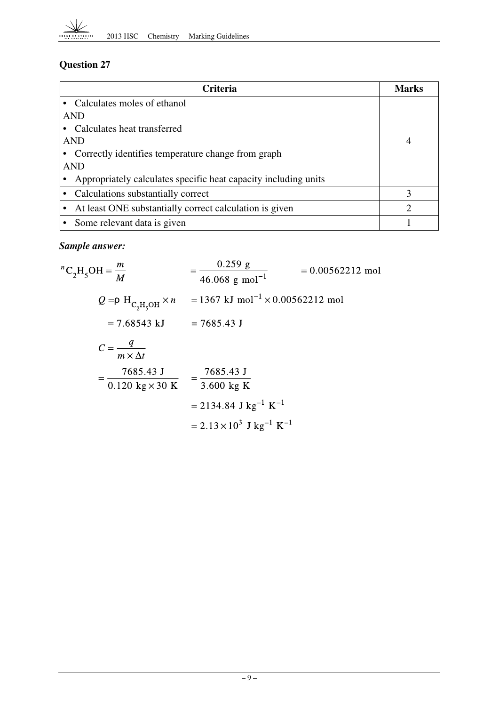

| <b>Criteria</b>                                                 | Marks |
|-----------------------------------------------------------------|-------|
| Calculates moles of ethanol                                     |       |
| <b>AND</b>                                                      |       |
| Calculates heat transferred                                     |       |
| <b>AND</b>                                                      |       |
| Correctly identifies temperature change from graph              |       |
| AND                                                             |       |
| Appropriately calculates specific heat capacity including units |       |
| • Calculations substantially correct                            | 3     |
| At least ONE substantially correct calculation is given         |       |
| Some relevant data is given                                     |       |

## *Sample answer:*

$$
{}^{n}C_{2}H_{5}OH = \frac{m}{M} = \frac{0.259 \text{ g}}{46.068 \text{ g mol}^{-1}} = 0.00562212 \text{ mol}
$$
  
\n
$$
Q = \rho H_{C_{2}H_{5}OH} \times n = 1367 \text{ kJ mol}^{-1} \times 0.00562212 \text{ mol}
$$
  
\n
$$
= 7.68543 \text{ kJ} = 7685.43 \text{ J}
$$
  
\n
$$
C = \frac{q}{m \times \Delta t}
$$
  
\n
$$
= \frac{7685.43 \text{ J}}{0.120 \text{ kg} \times 30 \text{ K}} = \frac{7685.43 \text{ J}}{3.600 \text{ kg K}}
$$
  
\n
$$
= 2134.84 \text{ J kg}^{-1} \text{ K}^{-1}
$$
  
\n
$$
= 2.13 \times 10^{3} \text{ J kg}^{-1} \text{ K}^{-1}
$$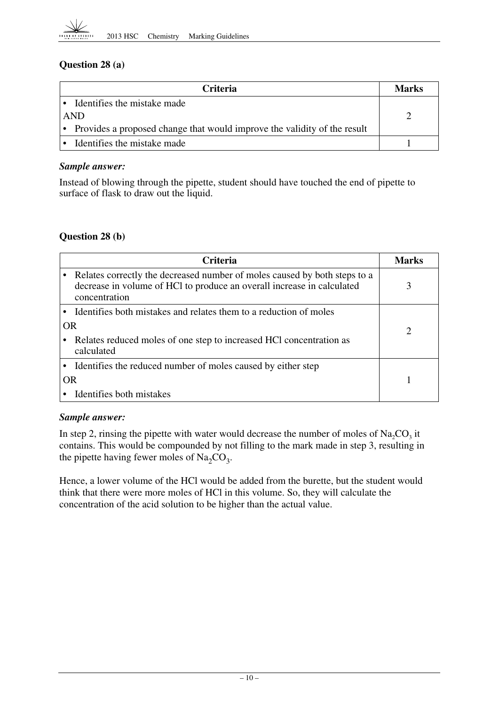

## **Question 28 (a)**

| <b>Criteria</b>                                                            | <b>Marks</b> |
|----------------------------------------------------------------------------|--------------|
| $\cdot$ Identifies the mistake made                                        |              |
| AND                                                                        |              |
| • Provides a proposed change that would improve the validity of the result |              |
| Identifies the mistake made                                                |              |

#### *Sample answer:*

Instead of blowing through the pipette, student should have touched the end of pipette to surface of flask to draw out the liquid.

## **Question 28 (b)**

| Criteria  |                                                                                                                                                                      |  |
|-----------|----------------------------------------------------------------------------------------------------------------------------------------------------------------------|--|
|           | Relates correctly the decreased number of moles caused by both steps to a<br>decrease in volume of HCl to produce an overall increase in calculated<br>concentration |  |
|           | Identifies both mistakes and relates them to a reduction of moles                                                                                                    |  |
| <b>OR</b> |                                                                                                                                                                      |  |
|           | Relates reduced moles of one step to increased HCl concentration as<br>calculated                                                                                    |  |
|           | Identifies the reduced number of moles caused by either step                                                                                                         |  |
| OR        |                                                                                                                                                                      |  |
|           | Identifies both mistakes                                                                                                                                             |  |

## *Sample answer:*

In step 2, rinsing the pipette with water would decrease the number of moles of  $Na_2CO<sub>3</sub>$  it contains. This would be compounded by not filling to the mark made in step 3, resulting in the pipette having fewer moles of  $\text{Na}_2\text{CO}_3$ .

Hence, a lower volume of the HCl would be added from the burette, but the student would think that there were more moles of HCl in this volume. So, they will calculate the concentration of the acid solution to be higher than the actual value.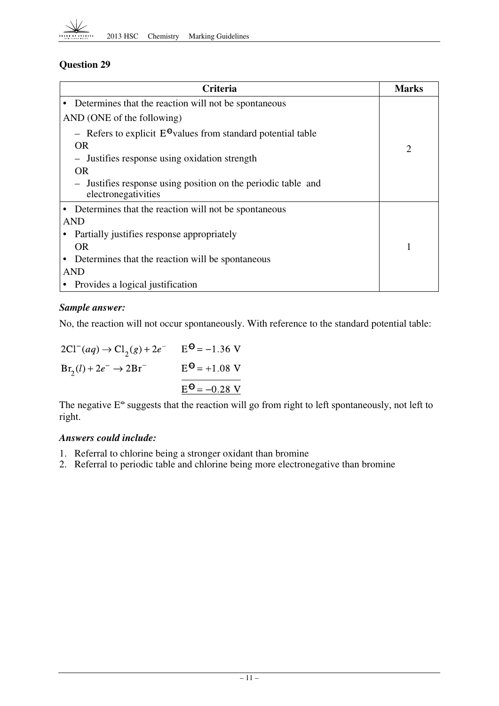

| <b>Criteria</b>                                                                      | Marks |
|--------------------------------------------------------------------------------------|-------|
| Determines that the reaction will not be spontaneous                                 |       |
| AND (ONE of the following)                                                           |       |
| - Refers to explicit $E^{\Theta}$ values from standard potential table               |       |
| OR.                                                                                  | 2     |
| - Justifies response using oxidation strength                                        |       |
| <b>OR</b>                                                                            |       |
| - Justifies response using position on the periodic table and<br>electronegativities |       |
| Determines that the reaction will not be spontaneous                                 |       |
| AND                                                                                  |       |
| Partially justifies response appropriately                                           |       |
| <b>OR</b>                                                                            |       |
| Determines that the reaction will be spontaneous                                     |       |
| <b>AND</b>                                                                           |       |
| Provides a logical justification                                                     |       |

## *Sample answer:*

No, the reaction will not occur spontaneously. With reference to the standard potential table:

| $2Cl^-(aq) \to Cl_2(g) + 2e^-$     | $E^{\Theta} = -1.36$ V |
|------------------------------------|------------------------|
| $Br_2(l) + 2e^- \rightarrow 2Br^-$ | $E^{\Theta} = +1.08$ V |
|                                    | $E^{\Theta} = -0.28$ V |

The negative  $E^{\phi}$  suggests that the reaction will go from right to left spontaneously, not left to right.

## *Answers could include:*

- 1. Referral to chlorine being a stronger oxidant than bromine
- 2. Referral to periodic table and chlorine being more electronegative than bromine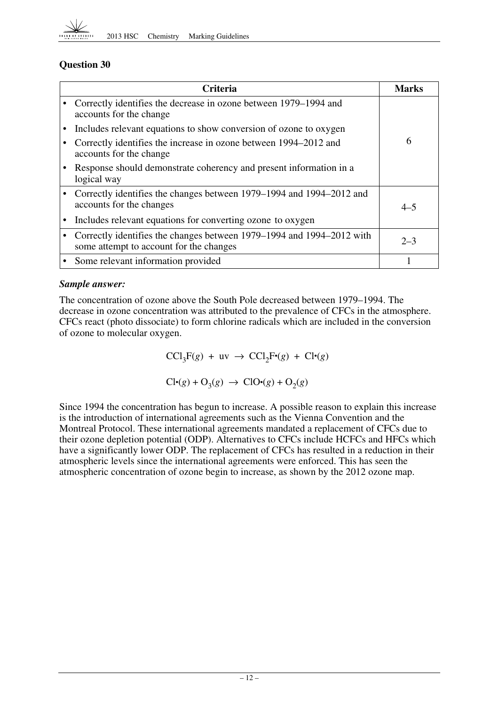

| <b>Criteria</b>                                                                                                  | Marks   |
|------------------------------------------------------------------------------------------------------------------|---------|
| Correctly identifies the decrease in ozone between 1979–1994 and<br>accounts for the change                      |         |
| Includes relevant equations to show conversion of ozone to oxygen                                                |         |
| Correctly identifies the increase in ozone between 1994–2012 and<br>accounts for the change                      | 6       |
| Response should demonstrate coherency and present information in a<br>logical way                                |         |
| Correctly identifies the changes between 1979–1994 and 1994–2012 and<br>accounts for the changes                 | $4 - 5$ |
| Includes relevant equations for converting ozone to oxygen                                                       |         |
| Correctly identifies the changes between 1979–1994 and 1994–2012 with<br>some attempt to account for the changes | $2 - 3$ |
| • Some relevant information provided                                                                             |         |

#### *Sample answer:*

The concentration of ozone above the South Pole decreased between 1979–1994. The decrease in ozone concentration was attributed to the prevalence of CFCs in the atmosphere. CFCs react (photo dissociate) to form chlorine radicals which are included in the conversion of ozone to molecular oxygen.

 $\text{CCl}_3\text{F}(g) + \text{uv} \rightarrow \text{CCl}_2\text{F} (g) + \text{Cl} (g)$ 

 $Cl·(g) + O_3(g) \rightarrow ClO·(g) + O_2(g)$ 

Since 1994 the concentration has begun to increase. A possible reason to explain this increase is the introduction of international agreements such as the Vienna Convention and the Montreal Protocol. These international agreements mandated a replacement of CFCs due to their ozone depletion potential (ODP). Alternatives to CFCs include HCFCs and HFCs which have a significantly lower ODP. The replacement of CFCs has resulted in a reduction in their atmospheric levels since the international agreements were enforced. This has seen the atmospheric concentration of ozone begin to increase, as shown by the 2012 ozone map.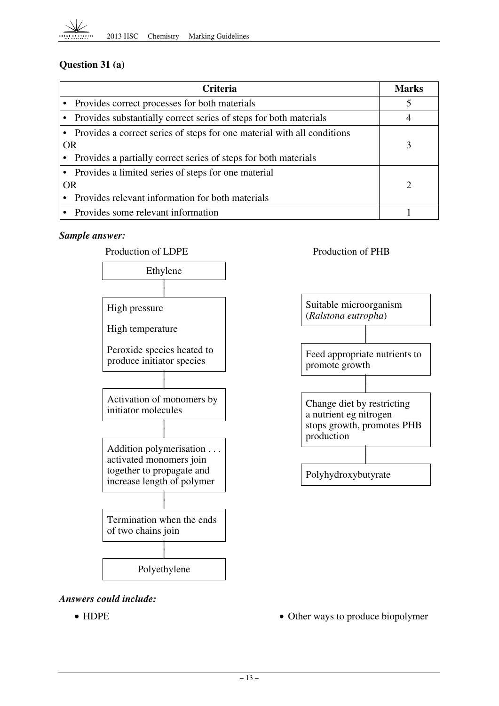

## **Question 31 (a)**

| <b>Criteria</b> |                                                                           |  |
|-----------------|---------------------------------------------------------------------------|--|
|                 | • Provides correct processes for both materials                           |  |
|                 | • Provides substantially correct series of steps for both materials       |  |
|                 | • Provides a correct series of steps for one material with all conditions |  |
| <b>OR</b>       |                                                                           |  |
|                 | Provides a partially correct series of steps for both materials           |  |
|                 | • Provides a limited series of steps for one material                     |  |
| <b>OR</b>       | റ                                                                         |  |
|                 | Provides relevant information for both materials                          |  |
|                 | • Provides some relevant information                                      |  |

#### *Sample answer:*





*Answers could include:* 

- 
- HDPE Other ways to produce biopolymer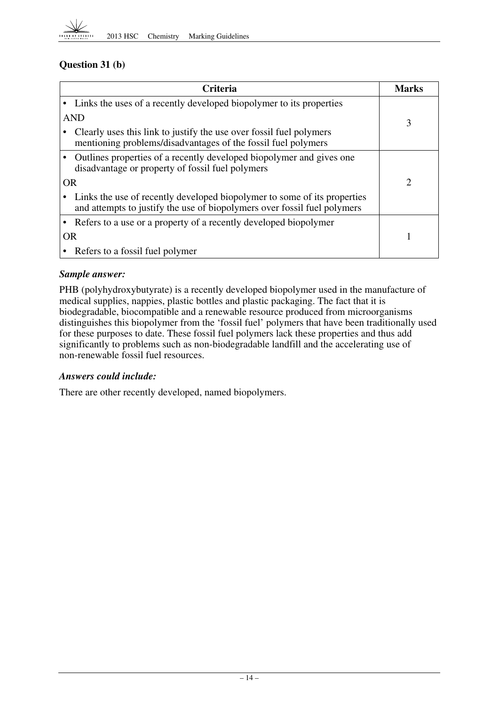

## **Question 31 (b)**

|            | Criteria                                                                                                                                             |   |  |
|------------|------------------------------------------------------------------------------------------------------------------------------------------------------|---|--|
|            | Links the uses of a recently developed biopolymer to its properties                                                                                  |   |  |
| <b>AND</b> |                                                                                                                                                      |   |  |
|            | Clearly uses this link to justify the use over fossil fuel polymers<br>mentioning problems/disadvantages of the fossil fuel polymers                 | 3 |  |
|            | Outlines properties of a recently developed biopolymer and gives one<br>disadvantage or property of fossil fuel polymers                             |   |  |
|            | <b>OR</b>                                                                                                                                            |   |  |
|            | Links the use of recently developed biopolymer to some of its properties<br>and attempts to justify the use of biopolymers over fossil fuel polymers |   |  |
|            | Refers to a use or a property of a recently developed biopolymer                                                                                     |   |  |
| <b>OR</b>  |                                                                                                                                                      |   |  |
|            | Refers to a fossil fuel polymer                                                                                                                      |   |  |

#### *Sample answer:*

PHB (polyhydroxybutyrate) is a recently developed biopolymer used in the manufacture of medical supplies, nappies, plastic bottles and plastic packaging. The fact that it is biodegradable, biocompatible and a renewable resource produced from microorganisms distinguishes this biopolymer from the 'fossil fuel' polymers that have been traditionally used for these purposes to date. These fossil fuel polymers lack these properties and thus add significantly to problems such as non-biodegradable landfill and the accelerating use of non-renewable fossil fuel resources.

#### *Answers could include:*

There are other recently developed, named biopolymers.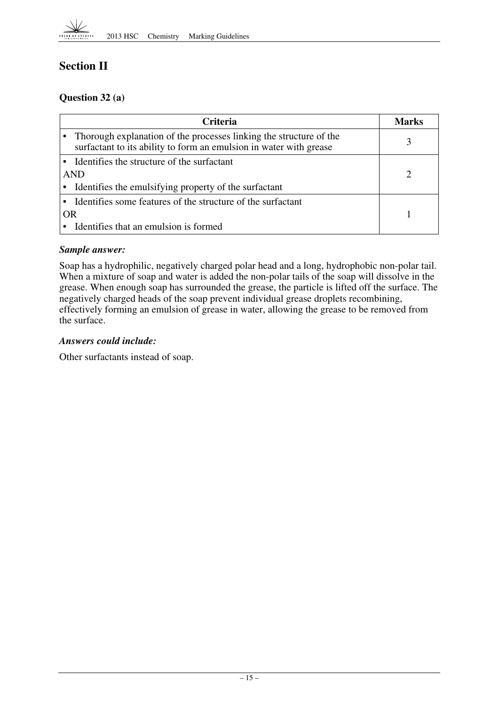

# **Section II**

## **Question 32 (a)**

| <b>Criteria</b>                                                                                                                          |  |  |
|------------------------------------------------------------------------------------------------------------------------------------------|--|--|
| Thorough explanation of the processes linking the structure of the<br>surfactant to its ability to form an emulsion in water with grease |  |  |
| Identifies the structure of the surfactant                                                                                               |  |  |
| <b>AND</b>                                                                                                                               |  |  |
| Identifies the emulsifying property of the surfactant                                                                                    |  |  |
| Identifies some features of the structure of the surfactant                                                                              |  |  |
| OR                                                                                                                                       |  |  |
| Identifies that an emulsion is formed                                                                                                    |  |  |

## *Sample answer:*

Soap has a hydrophilic, negatively charged polar head and a long, hydrophobic non-polar tail. When a mixture of soap and water is added the non-polar tails of the soap will dissolve in the grease. When enough soap has surrounded the grease, the particle is lifted off the surface. The negatively charged heads of the soap prevent individual grease droplets recombining, effectively forming an emulsion of grease in water, allowing the grease to be removed from the surface.

## *Answers could include:*

Other surfactants instead of soap.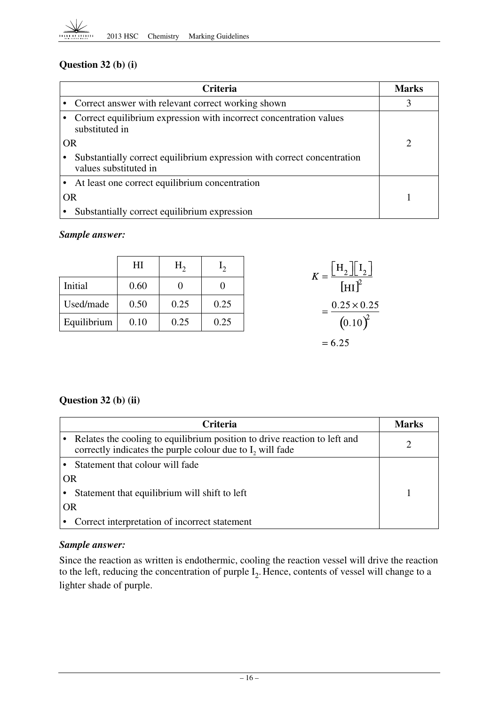

## **Question 32 (b) (i)**

| Criteria  |                                                                                                  |  |
|-----------|--------------------------------------------------------------------------------------------------|--|
|           | • Correct answer with relevant correct working shown                                             |  |
|           | Correct equilibrium expression with incorrect concentration values<br>substituted in             |  |
| <b>OR</b> |                                                                                                  |  |
|           | Substantially correct equilibrium expression with correct concentration<br>values substituted in |  |
|           | At least one correct equilibrium concentration                                                   |  |
| <b>OR</b> |                                                                                                  |  |
|           | Substantially correct equilibrium expression                                                     |  |

## *Sample answer:*

|             | H <sub>I</sub> | $H_{2}$  | $\mathbf{I}_{2}$ | $K = \frac{\left[\mathrm{H}_2\right]\left[\mathrm{I}_2\right]}{\left[\mathrm{HI}\right]^2}$ |
|-------------|----------------|----------|------------------|---------------------------------------------------------------------------------------------|
| Initial     | 0.60           | $\theta$ | O                |                                                                                             |
| Used/made   | 0.50           | 0.25     | 0.25             | $0.25 \times 0.25$                                                                          |
| Equilibrium | 0.10           | 0.25     | 0.25             | $(0.10)^2$                                                                                  |
|             |                |          |                  | $= 6.25$                                                                                    |

## **Question 32 (b) (ii)**

|           | <b>Criteria</b>                                                                                                                                    | Marks |
|-----------|----------------------------------------------------------------------------------------------------------------------------------------------------|-------|
|           | Relates the cooling to equilibrium position to drive reaction to left and<br>correctly indicates the purple colour due to I <sub>2</sub> will fade |       |
|           | Statement that colour will fade                                                                                                                    |       |
| OR        |                                                                                                                                                    |       |
|           | Statement that equilibrium will shift to left                                                                                                      |       |
| <b>OR</b> |                                                                                                                                                    |       |
|           | Correct interpretation of incorrect statement                                                                                                      |       |

## *Sample answer:*

Since the reaction as written is endothermic, cooling the reaction vessel will drive the reaction to the left, reducing the concentration of purple  $I_2$ . Hence, contents of vessel will change to a lighter shade of purple.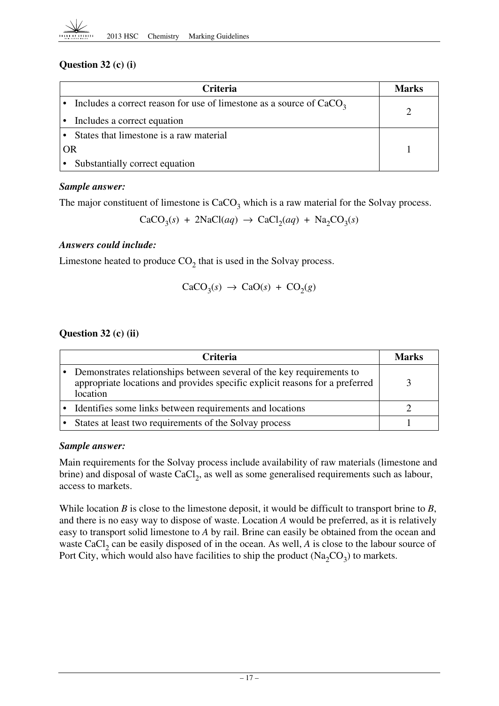## **Question 32 (c) (i)**

|    | <b>Criteria</b>                                                       |  |
|----|-----------------------------------------------------------------------|--|
|    | Includes a correct reason for use of limestone as a source of $CaCO3$ |  |
|    | Includes a correct equation                                           |  |
|    | States that limestone is a raw material                               |  |
| OR |                                                                       |  |
|    | Substantially correct equation                                        |  |

## *Sample answer:*

The major constituent of limestone is  $CaCO<sub>3</sub>$  which is a raw material for the Solvay process.

 $CaCO<sub>3</sub>(s) + 2NaCl(aq) \rightarrow CaCl<sub>2</sub>(aq) + Na<sub>2</sub>CO<sub>3</sub>(s)$ 

## *Answers could include:*

Limestone heated to produce  $CO<sub>2</sub>$  that is used in the Solvay process.

$$
CaCO3(s) \rightarrow CaO(s) + CO2(g)
$$

## **Question 32 (c) (ii)**

| <b>Criteria</b>                                                                                                                                                   |  |
|-------------------------------------------------------------------------------------------------------------------------------------------------------------------|--|
| Demonstrates relationships between several of the key requirements to<br>appropriate locations and provides specific explicit reasons for a preferred<br>location |  |
| • Identifies some links between requirements and locations                                                                                                        |  |
| States at least two requirements of the Solvay process                                                                                                            |  |

## *Sample answer:*

Main requirements for the Solvay process include availability of raw materials (limestone and brine) and disposal of waste CaCl<sub>2</sub>, as well as some generalised requirements such as labour, access to markets.

While location *B* is close to the limestone deposit, it would be difficult to transport brine to *B*, and there is no easy way to dispose of waste. Location *A* would be preferred, as it is relatively easy to transport solid limestone to *A* by rail. Brine can easily be obtained from the ocean and waste CaCl<sub>2</sub> can be easily disposed of in the ocean. As well,  $A$  is close to the labour source of Port City, which would also have facilities to ship the product  $(Na_2CO_3)$  to markets.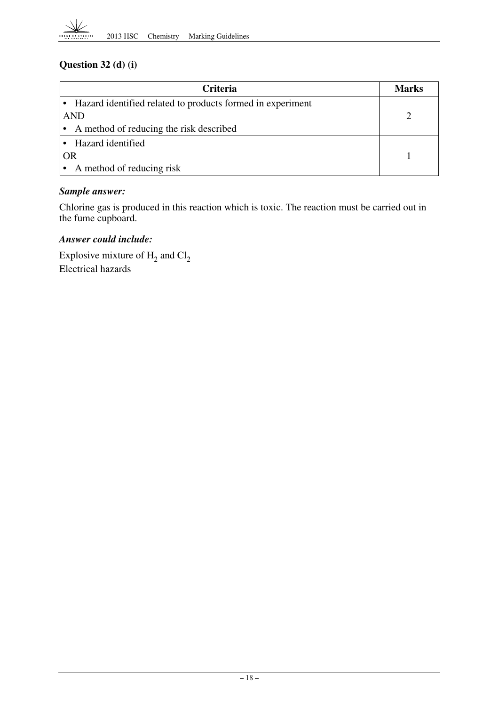## **Question 32 (d) (i)**

| <b>Criteria</b>                                              | Marks |
|--------------------------------------------------------------|-------|
| • Hazard identified related to products formed in experiment |       |
| <b>AND</b>                                                   |       |
| • A method of reducing the risk described                    |       |
| • Hazard identified                                          |       |
| <b>OR</b>                                                    |       |
| A method of reducing risk                                    |       |

## *Sample answer:*

Chlorine gas is produced in this reaction which is toxic. The reaction must be carried out in the fume cupboard.

## *Answer could include:*

Explosive mixture of  $H_2$  and  $Cl_2$ Electrical hazards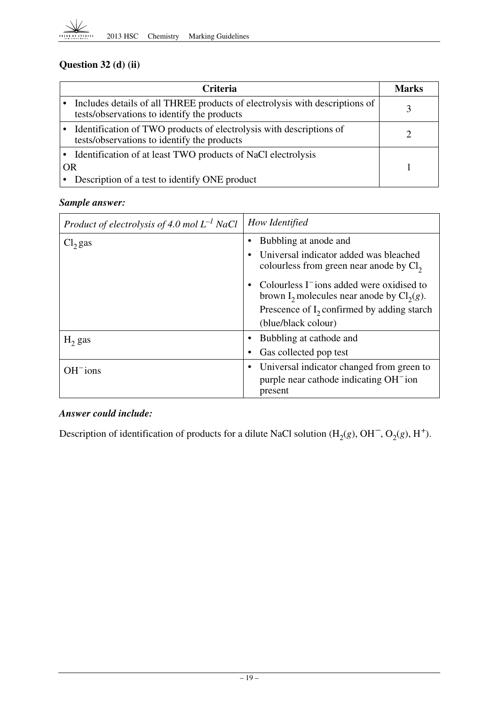

# **Question 32 (d) (ii)**

|           | <b>Criteria</b>                                                                                                            | <b>Marks</b> |
|-----------|----------------------------------------------------------------------------------------------------------------------------|--------------|
|           | Includes details of all THREE products of electrolysis with descriptions of<br>tests/observations to identify the products |              |
|           | Identification of TWO products of electrolysis with descriptions of<br>tests/observations to identify the products         |              |
|           | • Identification of at least TWO products of NaCl electrolysis                                                             |              |
| <b>OR</b> |                                                                                                                            |              |
|           | Description of a test to identify ONE product                                                                              |              |

## *Sample answer:*

| Product of electrolysis of 4.0 mol $L^{-1}$ NaCl | How Identified                                                                                                                |
|--------------------------------------------------|-------------------------------------------------------------------------------------------------------------------------------|
| $Cl2$ gas                                        | Bubbling at anode and<br>Universal indicator added was bleached<br>$\bullet$                                                  |
|                                                  | colourless from green near anode by $Cl2$                                                                                     |
|                                                  | Colourless I <sup>-</sup> ions added were oxidised to<br>$\bullet$<br>brown I <sub>2</sub> molecules near anode by $Cl2(g)$ . |
|                                                  | Prescence of $I_2$ confirmed by adding starch                                                                                 |
|                                                  | (blue/black colour)                                                                                                           |
| $H_2$ gas                                        | Bubbling at cathode and                                                                                                       |
|                                                  | Gas collected pop test<br>٠                                                                                                   |
| $OH-ions$                                        | Universal indicator changed from green to<br>٠                                                                                |
|                                                  | purple near cathode indicating OH <sup>-</sup> ion<br>present                                                                 |

## *Answer could include:*

Description of identification of products for a dilute NaCl solution  $(H_2(g), OH^-, O_2(g), H^+).$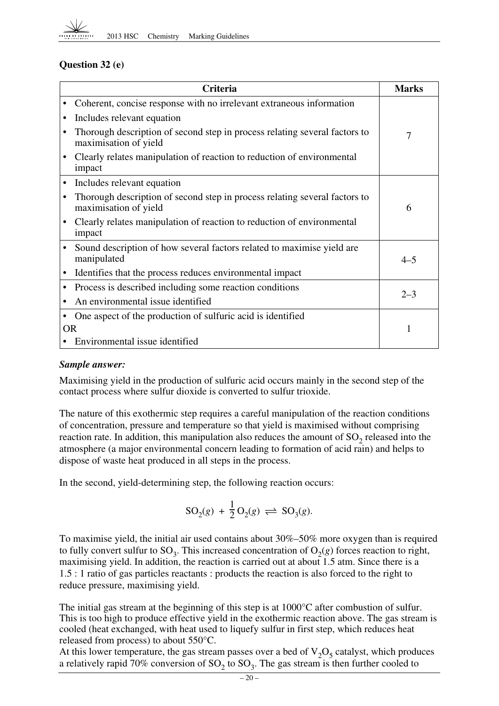

## **Question 32 (e)**

|           | <b>Criteria</b>                                                                                     | <b>Marks</b> |
|-----------|-----------------------------------------------------------------------------------------------------|--------------|
|           | Coherent, concise response with no irrelevant extraneous information                                |              |
|           | Includes relevant equation                                                                          |              |
|           | Thorough description of second step in process relating several factors to<br>maximisation of yield | 7            |
|           | Clearly relates manipulation of reaction to reduction of environmental<br>impact                    |              |
| $\bullet$ | Includes relevant equation                                                                          |              |
|           | Thorough description of second step in process relating several factors to<br>maximisation of yield | 6            |
|           | Clearly relates manipulation of reaction to reduction of environmental<br>impact                    |              |
|           | Sound description of how several factors related to maximise yield are<br>manipulated               | $4 - 5$      |
|           | Identifies that the process reduces environmental impact                                            |              |
| $\bullet$ | Process is described including some reaction conditions                                             | $2 - 3$      |
|           | An environmental issue identified                                                                   |              |
|           | One aspect of the production of sulfuric acid is identified                                         |              |
| <b>OR</b> |                                                                                                     | 1            |
|           | Environmental issue identified                                                                      |              |

## *Sample answer:*

Maximising yield in the production of sulfuric acid occurs mainly in the second step of the contact process where sulfur dioxide is converted to sulfur trioxide.

The nature of this exothermic step requires a careful manipulation of the reaction conditions of concentration, pressure and temperature so that yield is maximised without comprising reaction rate. In addition, this manipulation also reduces the amount of  $SO<sub>2</sub>$  released into the atmosphere (a major environmental concern leading to formation of acid rain) and helps to dispose of waste heat produced in all steps in the process.

In the second, yield-determining step, the following reaction occurs:

$$
\mathrm{SO}_2(g)\,+\,\frac{1}{2}\,\mathrm{O}_2(g)\,\rightleftharpoons\,\mathrm{SO}_3(g).
$$

 1.5 : 1 ratio of gas particles reactants : products the reaction is also forced to the right to To maximise yield, the initial air used contains about 30%–50% more oxygen than is required to fully convert sulfur to  $SO_3$ . This increased concentration of  $O_2(g)$  forces reaction to right, maximising yield. In addition, the reaction is carried out at about 1.5 atm. Since there is a reduce pressure, maximising yield.

The initial gas stream at the beginning of this step is at 1000°C after combustion of sulfur. This is too high to produce effective yield in the exothermic reaction above. The gas stream is cooled (heat exchanged, with heat used to liquefy sulfur in first step, which reduces heat released from process) to about 550°C.

At this lower temperature, the gas stream passes over a bed of  $V_2O_5$  catalyst, which produces a relatively rapid 70% conversion of  $SO_2$  to  $SO_3$ . The gas stream is then further cooled to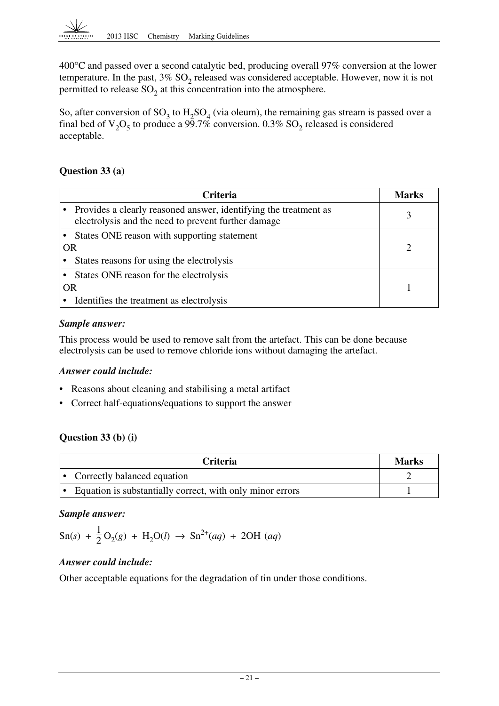400°C and passed over a second catalytic bed, producing overall 97% conversion at the lower temperature. In the past,  $3\%$  SO<sub>2</sub> released was considered acceptable. However, now it is not permitted to release  $SO<sub>2</sub>$  at this concentration into the atmosphere.

So, after conversion of  $SO_3$  to  $H_2SO_4$  (via oleum), the remaining gas stream is passed over a final bed of  $V_2O_5$  to produce a 99.7% conversion. 0.3% SO<sub>2</sub> released is considered acceptable.

## **Question 33 (a)**

|           | <b>Criteria</b>                                                                                                         | Marks |
|-----------|-------------------------------------------------------------------------------------------------------------------------|-------|
|           | Provides a clearly reasoned answer, identifying the treatment as<br>electrolysis and the need to prevent further damage | 3     |
|           | States ONE reason with supporting statement                                                                             |       |
| <b>OR</b> |                                                                                                                         |       |
|           | States reasons for using the electrolysis                                                                               |       |
|           | • States ONE reason for the electrolysis                                                                                |       |
| <b>OR</b> |                                                                                                                         |       |
|           | Identifies the treatment as electrolysis                                                                                |       |

## *Sample answer:*

This process would be used to remove salt from the artefact. This can be done because electrolysis can be used to remove chloride ions without damaging the artefact.

## *Answer could include:*

- Reasons about cleaning and stabilising a metal artifact
- Correct half-equations/equations to support the answer

## **Question 33 (b) (i)**

| <b>Criteria</b>                                           | <b>Marks</b> |
|-----------------------------------------------------------|--------------|
| Correctly balanced equation<br>∣•                         |              |
| Equation is substantially correct, with only minor errors |              |

## *Sample answer:*

$$
Sn(s) + \frac{1}{2}O_2(g) + H_2O(l) \rightarrow Sn^{2+}(aq) + 2OH^{-}(aq)
$$

## *Answer could include:*

Other acceptable equations for the degradation of tin under those conditions.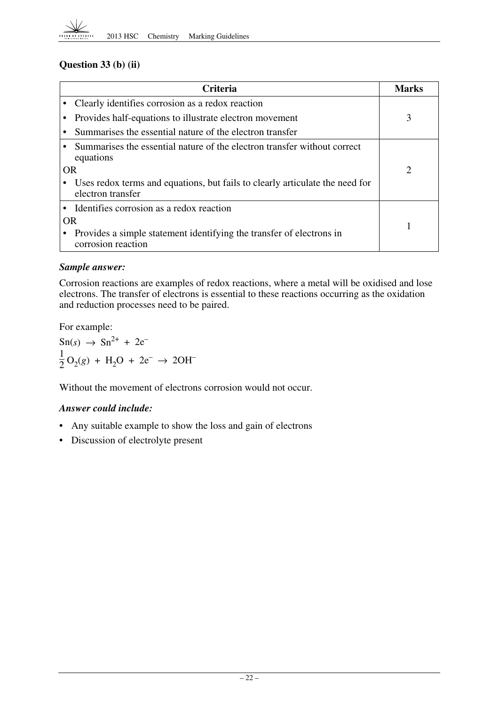

## **Question 33 (b) (ii)**

|           | <b>Criteria</b>                                                                                   | <b>Marks</b>   |
|-----------|---------------------------------------------------------------------------------------------------|----------------|
|           | Clearly identifies corrosion as a redox reaction                                                  |                |
|           | Provides half-equations to illustrate electron movement                                           | 3              |
|           | Summarises the essential nature of the electron transfer                                          |                |
|           | Summarises the essential nature of the electron transfer without correct<br>equations             |                |
| <b>OR</b> |                                                                                                   | $\overline{2}$ |
|           | Uses redox terms and equations, but fails to clearly articulate the need for<br>electron transfer |                |
|           | Identifies corrosion as a redox reaction                                                          |                |
| OR        |                                                                                                   |                |
|           | Provides a simple statement identifying the transfer of electrons in<br>corrosion reaction        |                |

#### *Sample answer:*

Corrosion reactions are examples of redox reactions, where a metal will be oxidised and lose electrons. The transfer of electrons is essential to these reactions occurring as the oxidation and reduction processes need to be paired.

For example:

 $\text{Sn}(s) \to \text{Sn}^{2+} + 2\text{e}^{-}$  $\frac{1}{2}O_2(g) + H_2O + 2e^- \rightarrow 2OH^-$ 

Without the movement of electrons corrosion would not occur.

## *Answer could include:*

- Any suitable example to show the loss and gain of electrons
- Discussion of electrolyte present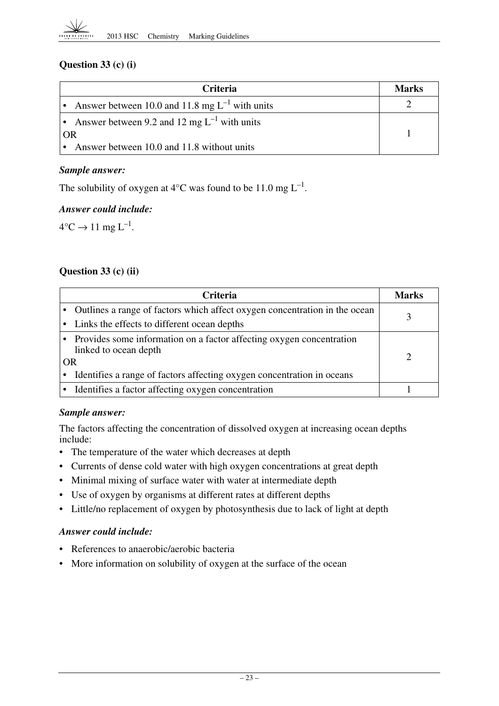## **Question 33 (c) (i)**

| <b>Criteria</b>                                       | Marks |
|-------------------------------------------------------|-------|
| • Answer between 10.0 and 11.8 mg $L^{-1}$ with units |       |
| • Answer between 9.2 and 12 mg $L^{-1}$ with units    |       |
| OR                                                    |       |
| • Answer between 10.0 and 11.8 without units          |       |

#### *Sample answer:*

The solubility of oxygen at 4 $\rm ^{\circ}C$  was found to be 11.0 mg L<sup>-1</sup>.

#### *Answer could include:*

 $4^{\circ}C \rightarrow 11 \text{ mg } L^{-1}$ .

## **Question 33 (c) (ii)**

|    | <b>Criteria</b>                                                                                 | <b>Marks</b> |
|----|-------------------------------------------------------------------------------------------------|--------------|
|    | • Outlines a range of factors which affect oxygen concentration in the ocean                    |              |
|    | • Links the effects to different ocean depths                                                   |              |
| OR | • Provides some information on a factor affecting oxygen concentration<br>linked to ocean depth |              |
|    | • Identifies a range of factors affecting oxygen concentration in oceans                        |              |
|    | • Identifies a factor affecting oxygen concentration                                            |              |

## *Sample answer:*

The factors affecting the concentration of dissolved oxygen at increasing ocean depths include:

- The temperature of the water which decreases at depth
- Currents of dense cold water with high oxygen concentrations at great depth
- Minimal mixing of surface water with water at intermediate depth
- Use of oxygen by organisms at different rates at different depths
- Little/no replacement of oxygen by photosynthesis due to lack of light at depth

#### *Answer could include:*

- References to anaerobic/aerobic bacteria
- More information on solubility of oxygen at the surface of the ocean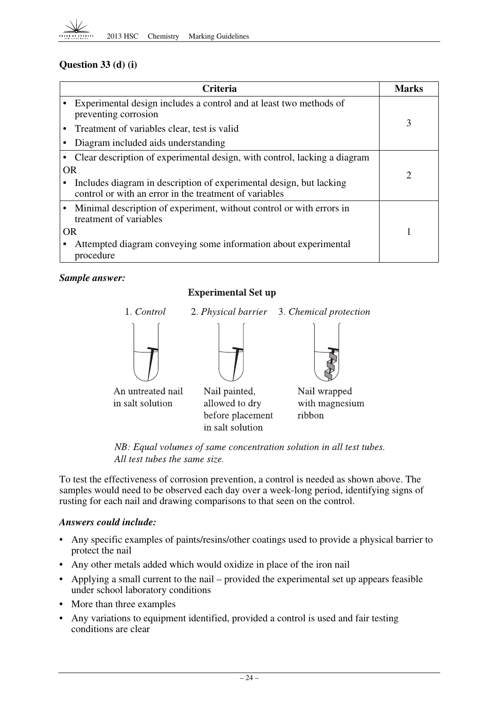

## **Question 33 (d) (i)**

|           | <b>Criteria</b>                                                                                                               | <b>Marks</b> |
|-----------|-------------------------------------------------------------------------------------------------------------------------------|--------------|
|           | Experimental design includes a control and at least two methods of<br>preventing corrosion                                    |              |
|           | Treatment of variables clear, test is valid                                                                                   | 3            |
|           | Diagram included aids understanding                                                                                           |              |
|           | Clear description of experimental design, with control, lacking a diagram                                                     |              |
| <b>OR</b> |                                                                                                                               | 2            |
|           | Includes diagram in description of experimental design, but lacking<br>control or with an error in the treatment of variables |              |
|           | Minimal description of experiment, without control or with errors in<br>treatment of variables                                |              |
| <b>OR</b> |                                                                                                                               |              |
|           | Attempted diagram conveying some information about experimental<br>procedure                                                  |              |

## *Sample answer:*

## **Experimental Set up**



NB: Equal volumes of same concentration solution in all test tubes. All test tubes the same size.

To test the effectiveness of corrosion prevention, a control is needed as shown above. The samples would need to be observed each day over a week-long period, identifying signs of rusting for each nail and drawing comparisons to that seen on the control.

## *Answers could include:*

- Any specific examples of paints/resins/other coatings used to provide a physical barrier to protect the nail
- Any other metals added which would oxidize in place of the iron nail
- • Applying a small current to the nail provided the experimental set up appears feasible under school laboratory conditions
- More than three examples
- Any variations to equipment identified, provided a control is used and fair testing conditions are clear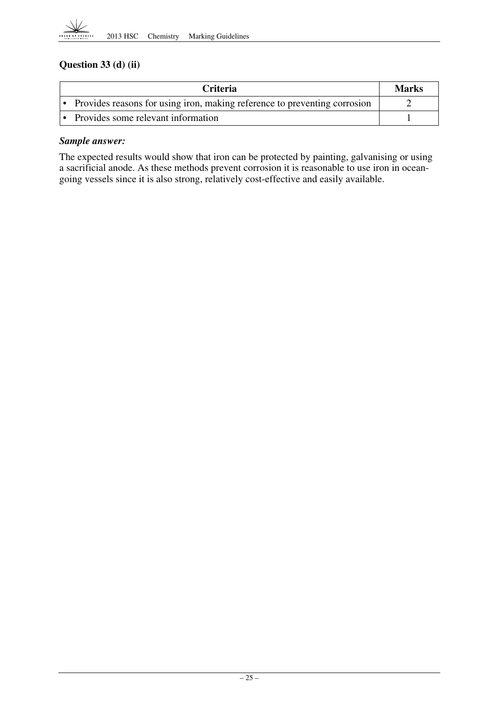

## **Question 33 (d) (ii)**

| <b>Criteria</b>                                                           | Marks |
|---------------------------------------------------------------------------|-------|
| Provides reasons for using iron, making reference to preventing corrosion |       |
| • Provides some relevant information                                      |       |

#### *Sample answer:*

The expected results would show that iron can be protected by painting, galvanising or using a sacrificial anode. As these methods prevent corrosion it is reasonable to use iron in oceangoing vessels since it is also strong, relatively cost-effective and easily available.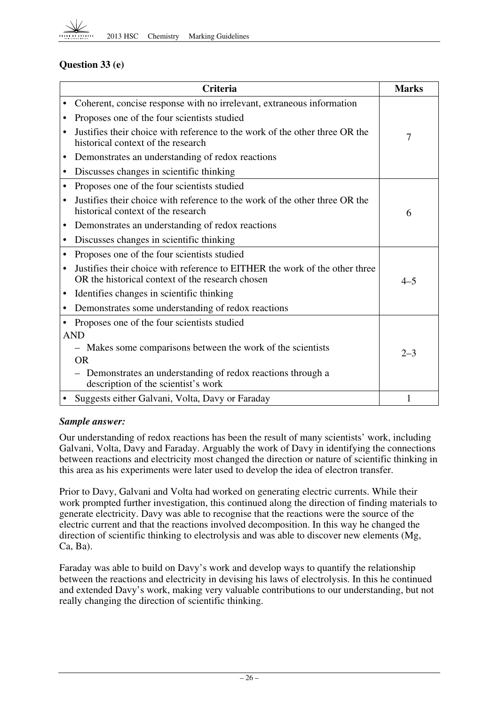

## **Question 33 (e)**

|           | <b>Criteria</b>                                                                                                                 | <b>Marks</b> |
|-----------|---------------------------------------------------------------------------------------------------------------------------------|--------------|
|           | Coherent, concise response with no irrelevant, extraneous information                                                           |              |
|           | Proposes one of the four scientists studied                                                                                     |              |
|           | Justifies their choice with reference to the work of the other three OR the<br>historical context of the research               | 7            |
| ٠         | Demonstrates an understanding of redox reactions                                                                                |              |
|           | Discusses changes in scientific thinking                                                                                        |              |
| ٠         | Proposes one of the four scientists studied                                                                                     |              |
|           | Justifies their choice with reference to the work of the other three OR the<br>historical context of the research               | 6            |
| ٠         | Demonstrates an understanding of redox reactions                                                                                |              |
| $\bullet$ | Discusses changes in scientific thinking                                                                                        |              |
| $\bullet$ | Proposes one of the four scientists studied                                                                                     |              |
|           | Justifies their choice with reference to EITHER the work of the other three<br>OR the historical context of the research chosen | $4 - 5$      |
|           | Identifies changes in scientific thinking                                                                                       |              |
| $\bullet$ | Demonstrates some understanding of redox reactions                                                                              |              |
|           | Proposes one of the four scientists studied                                                                                     |              |
|           | <b>AND</b>                                                                                                                      |              |
|           | - Makes some comparisons between the work of the scientists                                                                     | $2 - 3$      |
|           | <b>OR</b>                                                                                                                       |              |
|           | Demonstrates an understanding of redox reactions through a<br>description of the scientist's work                               |              |
|           | Suggests either Galvani, Volta, Davy or Faraday                                                                                 | 1            |

#### *Sample answer:*

Our understanding of redox reactions has been the result of many scientists' work, including Galvani, Volta, Davy and Faraday. Arguably the work of Davy in identifying the connections between reactions and electricity most changed the direction or nature of scientific thinking in this area as his experiments were later used to develop the idea of electron transfer.

 Ca, Ba). Prior to Davy, Galvani and Volta had worked on generating electric currents. While their work prompted further investigation, this continued along the direction of finding materials to generate electricity. Davy was able to recognise that the reactions were the source of the electric current and that the reactions involved decomposition. In this way he changed the direction of scientific thinking to electrolysis and was able to discover new elements (Mg,

Faraday was able to build on Davy's work and develop ways to quantify the relationship between the reactions and electricity in devising his laws of electrolysis. In this he continued and extended Davy's work, making very valuable contributions to our understanding, but not really changing the direction of scientific thinking.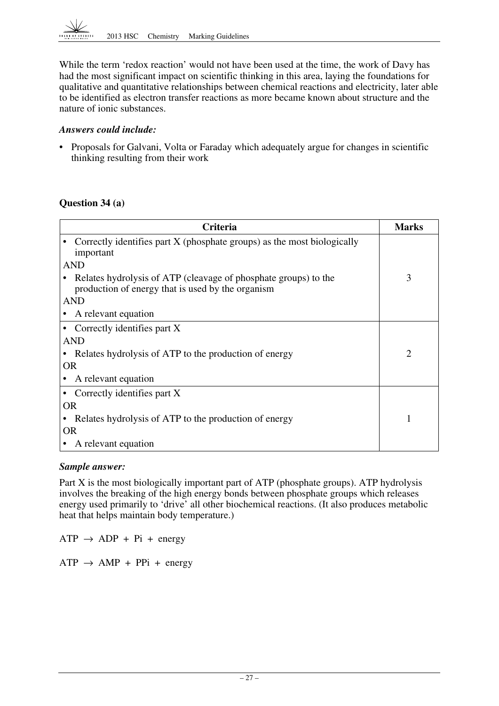While the term 'redox reaction' would not have been used at the time, the work of Davy has had the most significant impact on scientific thinking in this area, laying the foundations for qualitative and quantitative relationships between chemical reactions and electricity, later able to be identified as electron transfer reactions as more became known about structure and the nature of ionic substances.

#### *Answers could include:*

• Proposals for Galvani, Volta or Faraday which adequately argue for changes in scientific thinking resulting from their work

## **Question 34 (a)**

| Criteria                                                                                                             | <b>Marks</b> |
|----------------------------------------------------------------------------------------------------------------------|--------------|
| Correctly identifies part X (phosphate groups) as the most biologically<br>important                                 |              |
| <b>AND</b>                                                                                                           |              |
| Relates hydrolysis of ATP (cleavage of phosphate groups) to the<br>production of energy that is used by the organism | 3            |
| <b>AND</b>                                                                                                           |              |
| A relevant equation                                                                                                  |              |
| Correctly identifies part X                                                                                          |              |
| <b>AND</b>                                                                                                           |              |
| Relates hydrolysis of ATP to the production of energy                                                                | 2            |
| <b>OR</b>                                                                                                            |              |
| A relevant equation                                                                                                  |              |
| Correctly identifies part X                                                                                          |              |
| <b>OR</b>                                                                                                            |              |
| Relates hydrolysis of ATP to the production of energy                                                                |              |
| OR                                                                                                                   |              |
| A relevant equation                                                                                                  |              |

## *Sample answer:*

Part X is the most biologically important part of ATP (phosphate groups). ATP hydrolysis involves the breaking of the high energy bonds between phosphate groups which releases energy used primarily to 'drive' all other biochemical reactions. (It also produces metabolic heat that helps maintain body temperature.)

 $ATP \rightarrow ADP + Pi + energy$ 

 $ATP \rightarrow AMP + PPi + energy$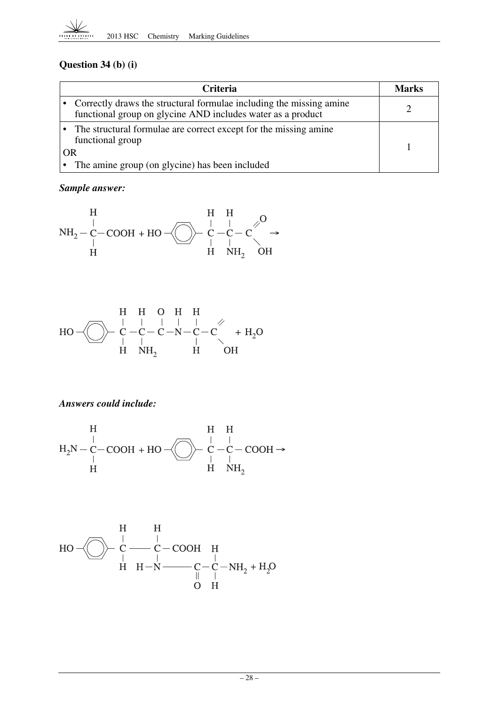

# **Question 34 (b) (i)**

|    | Criteria                                                                                                                             | <b>Marks</b> |
|----|--------------------------------------------------------------------------------------------------------------------------------------|--------------|
|    | • Correctly draws the structural formulae including the missing amine<br>functional group on glycine AND includes water as a product |              |
|    | The structural formulae are correct except for the missing amine<br>functional group                                                 |              |
| OR |                                                                                                                                      |              |
|    | The amine group (on glycine) has been included                                                                                       |              |

# *Sample answer:*



$$
\mathrm{HO} \begin{array}{c}\n\text{H} & \text{H} & \text{O} & \text{H} & \text{H} \\
\text{H} & \text{O} & \text{O} & \text{H} & \text{H} \\
\text{H} & \text{O} & \text{O} & \text{O} \\
\text{H} & \text{N} & \text{H} & \text{H} \\
\end{array} \quad \begin{array}{c}\n\text{H} & \text{H} & \text{O} & \text{H} & \text{H} \\
\text{H} & \text{O} & \text{H} & \text{O} \\
\text{H} & \text{N} & \text{H} & \text{O} \\
\end{array}
$$

## *Answers could include:*

$$
H \downarrow H_2N-C-COOH + HO \n\uparrow C \n\uparrow C \n\uparrow C \n\downarrow H \n\downarrow H \n\downarrow H \n\downarrow H \n\downarrow H \n\downarrow H \n\downarrow H \n\downarrow H \n\downarrow H \n\downarrow H \n\downarrow H \n\downarrow H \n\downarrow H \n\downarrow H \n\downarrow H \n\downarrow H \n\downarrow H \n\downarrow H \n\downarrow H \n\downarrow H \n\downarrow H \n\downarrow H \n\downarrow H \n\downarrow H \n\downarrow H \n\downarrow H \n\downarrow H \n\downarrow H \n\downarrow H \n\downarrow H \n\downarrow H \n\downarrow H \n\downarrow H \n\downarrow H \n\downarrow H \n\downarrow H \n\downarrow H \n\downarrow H \n\downarrow H \n\downarrow H \n\downarrow H \n\downarrow H \n\downarrow H \n\downarrow H \n\downarrow H \n\downarrow H \n\downarrow H \n\downarrow H \n\downarrow H \n\downarrow H \n\downarrow H \n\downarrow H \n\downarrow H \n\downarrow H \n\downarrow H \n\downarrow H \n\downarrow H \n\downarrow H \n\downarrow H \n\downarrow H \n\downarrow H \n\downarrow H \n\downarrow H \n\downarrow H \n\downarrow H \n\downarrow H \n\downarrow H \n\downarrow H \n\downarrow H \n\downarrow H \n\downarrow H \n\downarrow H \n\downarrow H \n\downarrow H \n\downarrow H \n\downarrow H \n\downarrow H \n\downarrow H \n\downarrow H \n\downarrow H \n\downarrow H \n\downarrow H \n\downarrow H \n\downarrow H \n\downarrow H \n\downarrow H \n\downarrow H \n\downarrow H \n\downarrow H \n\downarrow H \n\downarrow H \n\downarrow H \n\downarrow H \n\downarrow H \n\downarrow H \n\downarrow H \n\downarrow H \n\downarrow H \n\downarrow H \n\downarrow H \n\downarrow H \n\downarrow H \n\downarrow H \n\downarrow H \n\downarrow H \n\downarrow H \n\downarrow H \n\downarrow H \n\downarrow H \n\downarrow H \n\downarrow H \n\downarrow H \n\downarrow H \n\downarrow H \n\downarrow H \n\downarrow H \n\downarrow H \n\downarrow H \n\downarrow H \n\downarrow H \n\downarrow H \
$$

$$
\text{HO} - \bigodot - \bigodot \hspace{-0.1cm} \begin{array}{c}\n \text{H} & \text{H} \\
 \text{C} & \text{C} - \text{COOH} & \text{H} \\
 \text{H} & \text{H} - \text{N} & \text{C} - \text{C} - \text{NH}_2 + \text{H}_2\text{O} \\
 \text{H} & \text{H} - \text{N} & \text{O} & \text{H}\n \end{array}
$$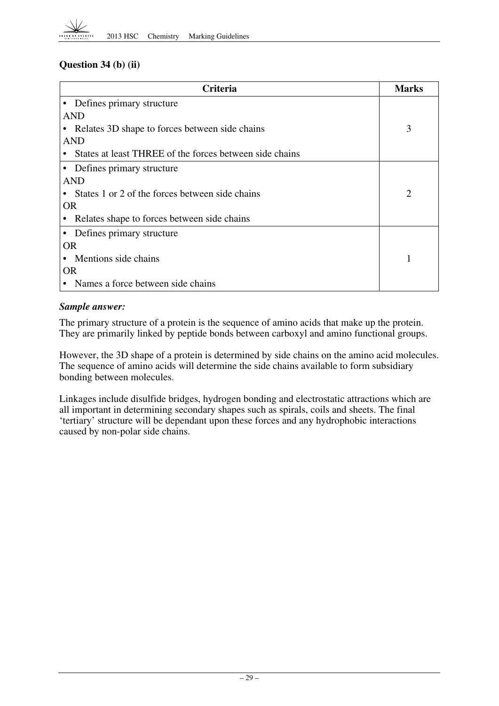## **Question 34 (b) (ii)**

| <b>Criteria</b>                                         | <b>Marks</b> |
|---------------------------------------------------------|--------------|
| • Defines primary structure                             |              |
| AND                                                     |              |
| Relates 3D shape to forces between side chains          | 3            |
| <b>AND</b>                                              |              |
| States at least THREE of the forces between side chains |              |
| • Defines primary structure                             |              |
| AND                                                     |              |
| States 1 or 2 of the forces between side chains         | 2            |
| <b>OR</b>                                               |              |
| Relates shape to forces between side chains             |              |
| Defines primary structure<br>$\bullet$                  |              |
| <b>OR</b>                                               |              |
| Mentions side chains                                    |              |
| <b>OR</b>                                               |              |
| Names a force between side chains                       |              |

## *Sample answer:*

The primary structure of a protein is the sequence of amino acids that make up the protein. They are primarily linked by peptide bonds between carboxyl and amino functional groups.

However, the 3D shape of a protein is determined by side chains on the amino acid molecules. The sequence of amino acids will determine the side chains available to form subsidiary bonding between molecules.

Linkages include disulfide bridges, hydrogen bonding and electrostatic attractions which are all important in determining secondary shapes such as spirals, coils and sheets. The final 'tertiary' structure will be dependant upon these forces and any hydrophobic interactions caused by non-polar side chains.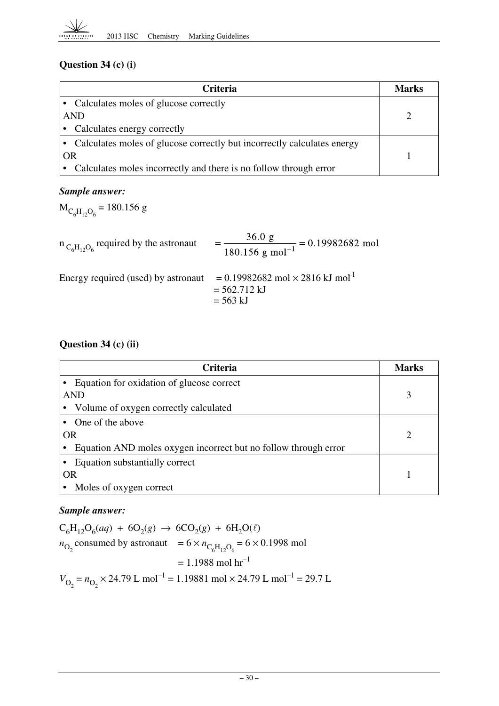## **Question 34 (c) (i)**

| <b>Criteria</b>                                                           | <b>Marks</b> |
|---------------------------------------------------------------------------|--------------|
| • Calculates moles of glucose correctly                                   |              |
| <b>AND</b>                                                                |              |
| • Calculates energy correctly                                             |              |
| • Calculates moles of glucose correctly but incorrectly calculates energy |              |
| OR                                                                        |              |
| Calculates moles incorrectly and there is no follow through error         |              |

## *Sample answer:*

 $M_{C_6H_{12}O_6} = 180.156$  g

| $n_{C_6H_1, Q_6}$ required by the astronaut | $\frac{36.0 \text{ g}}{180.156 \text{ g mol}^{-1}} = 0.19982682 \text{ mol}$                 |
|---------------------------------------------|----------------------------------------------------------------------------------------------|
| Energy required (used) by astronaut         | $= 0.19982682$ mol $\times$ 2816 kJ mol <sup>1</sup><br>$= 562.712 \text{ kJ}$<br>$= 563$ kJ |

## **Question 34 (c) (ii)**

| <b>Criteria</b>                                                 | <b>Marks</b> |
|-----------------------------------------------------------------|--------------|
| • Equation for oxidation of glucose correct                     |              |
| <b>AND</b>                                                      |              |
| Volume of oxygen correctly calculated                           |              |
| • One of the above                                              |              |
| <b>OR</b>                                                       | റ            |
| Equation AND moles oxygen incorrect but no follow through error |              |
| Equation substantially correct                                  |              |
| <b>OR</b>                                                       |              |
| Moles of oxygen correct                                         |              |

## *Sample answer:*

 $C_6H_{12}O_6(aq) + 6O_2(g) \rightarrow 6CO_2(g) + 6H_2O(\ell)$  $n_{\text{O}_2}$  consumed by astronaut =  $6 \times n_{\text{C}_6\text{H}_{12}\text{O}_6} = 6 \times 0.1998$  mol  $= 1.1988 \text{ mol hr}^{-1}$  $V_{\text{O}_2} = n_{\text{O}_2} \times 24.79 \text{ L mol}^{-1} = 1.19881 \text{ mol} \times 24.79 \text{ L mol}^{-1} = 29.7 \text{ L}$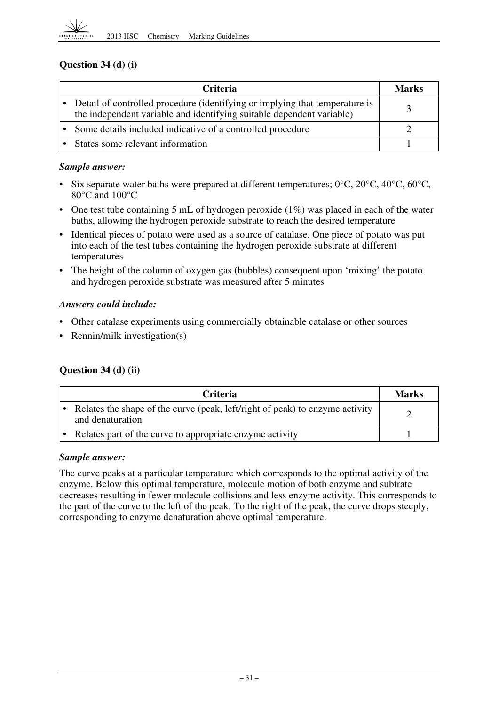

## **Question 34 (d) (i)**

| Criteria                                                                                                                                               | <b>Marks</b> |
|--------------------------------------------------------------------------------------------------------------------------------------------------------|--------------|
| • Detail of controlled procedure (identifying or implying that temperature is<br>the independent variable and identifying suitable dependent variable) |              |
| • Some details included indicative of a controlled procedure                                                                                           |              |
| • States some relevant information                                                                                                                     |              |

#### *Sample answer:*

- Six separate water baths were prepared at different temperatures;  $0^{\circ}$ C,  $20^{\circ}$ C,  $40^{\circ}$ C,  $60^{\circ}$ C, 80°C and 100°C
- One test tube containing 5 mL of hydrogen peroxide  $(1%)$  was placed in each of the water baths, allowing the hydrogen peroxide substrate to reach the desired temperature
- Identical pieces of potato were used as a source of catalase. One piece of potato was put into each of the test tubes containing the hydrogen peroxide substrate at different temperatures
- and hydrogen peroxide substrate was measured after 5 minutes The height of the column of oxygen gas (bubbles) consequent upon 'mixing' the potato

#### *Answers could include:*

- Other catalase experiments using commercially obtainable catalase or other sources
- Rennin/milk investigation(s)

## **Question 34 (d) (ii)**

| <b>Criteria</b>                                                                                  | <b>Marks</b> |
|--------------------------------------------------------------------------------------------------|--------------|
| Relates the shape of the curve (peak, left/right of peak) to enzyme activity<br>and denaturation |              |
| Relates part of the curve to appropriate enzyme activity                                         |              |

#### *Sample answer:*

The curve peaks at a particular temperature which corresponds to the optimal activity of the enzyme. Below this optimal temperature, molecule motion of both enzyme and subtrate decreases resulting in fewer molecule collisions and less enzyme activity. This corresponds to the part of the curve to the left of the peak. To the right of the peak, the curve drops steeply, corresponding to enzyme denaturation above optimal temperature.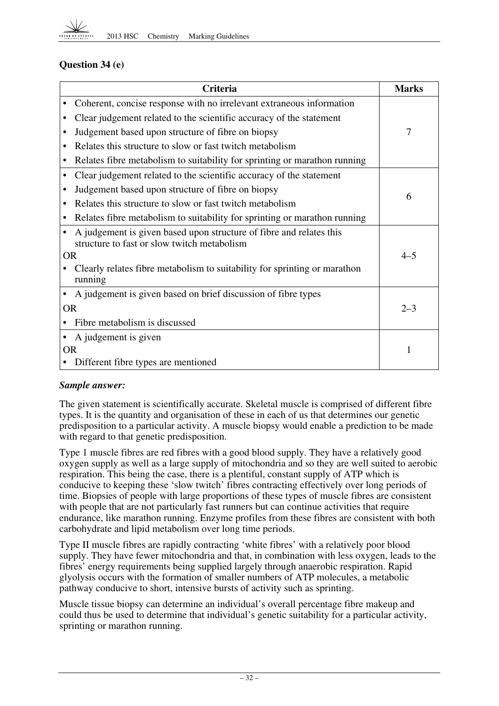

## **Question 34 (e)**

|           | Criteria                                                                                                           | <b>Marks</b>   |
|-----------|--------------------------------------------------------------------------------------------------------------------|----------------|
|           | Coherent, concise response with no irrelevant extraneous information                                               |                |
|           | Clear judgement related to the scientific accuracy of the statement                                                |                |
|           | Judgement based upon structure of fibre on biopsy                                                                  | $\overline{7}$ |
|           | Relates this structure to slow or fast twitch metabolism                                                           |                |
|           | Relates fibre metabolism to suitability for sprinting or marathon running                                          |                |
| $\bullet$ | Clear judgement related to the scientific accuracy of the statement                                                |                |
|           | Judgement based upon structure of fibre on biopsy                                                                  | 6              |
|           | Relates this structure to slow or fast twitch metabolism                                                           |                |
|           | Relates fibre metabolism to suitability for sprinting or marathon running                                          |                |
|           | A judgement is given based upon structure of fibre and relates this<br>structure to fast or slow twitch metabolism |                |
| <b>OR</b> |                                                                                                                    | $4 - 5$        |
|           | Clearly relates fibre metabolism to suitability for sprinting or marathon<br>running                               |                |
|           | A judgement is given based on brief discussion of fibre types                                                      |                |
| <b>OR</b> |                                                                                                                    | $2 - 3$        |
|           | Fibre metabolism is discussed                                                                                      |                |
|           | A judgement is given                                                                                               |                |
| <b>OR</b> |                                                                                                                    | 1              |
|           | Different fibre types are mentioned                                                                                |                |

#### *Sample answer:*

The given statement is scientifically accurate. Skeletal muscle is comprised of different fibre types. It is the quantity and organisation of these in each of us that determines our genetic predisposition to a particular activity. A muscle biopsy would enable a prediction to be made with regard to that genetic predisposition.

Type 1 muscle fibres are red fibres with a good blood supply. They have a relatively good oxygen supply as well as a large supply of mitochondria and so they are well suited to aerobic respiration. This being the case, there is a plentiful, constant supply of ATP which is conducive to keeping these 'slow twitch' fibres contracting effectively over long periods of time. Biopsies of people with large proportions of these types of muscle fibres are consistent with people that are not particularly fast runners but can continue activities that require endurance, like marathon running. Enzyme profiles from these fibres are consistent with both carbohydrate and lipid metabolism over long time periods.

Type II muscle fibres are rapidly contracting 'white fibres' with a relatively poor blood supply. They have fewer mitochondria and that, in combination with less oxygen, leads to the fibres' energy requirements being supplied largely through anaerobic respiration. Rapid glyolysis occurs with the formation of smaller numbers of ATP molecules, a metabolic pathway conducive to short, intensive bursts of activity such as sprinting.

Muscle tissue biopsy can determine an individual's overall percentage fibre makeup and could thus be used to determine that individual's genetic suitability for a particular activity, sprinting or marathon running.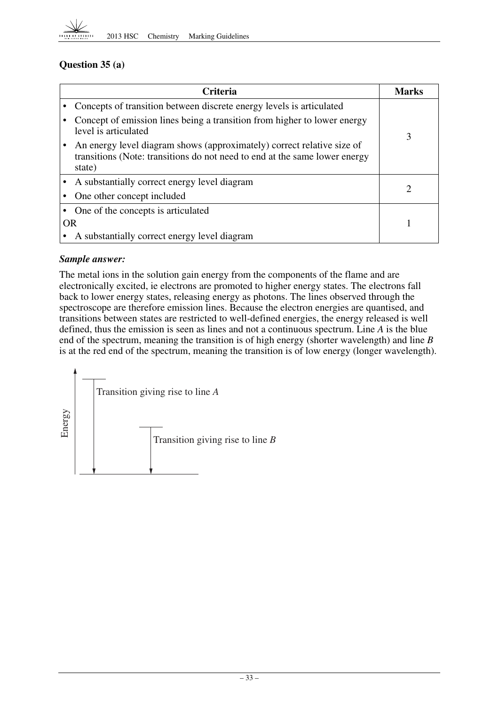

## **Question 35 (a)**

|           | <b>Criteria</b>                                                                                                                                                | <b>Marks</b> |
|-----------|----------------------------------------------------------------------------------------------------------------------------------------------------------------|--------------|
|           | Concepts of transition between discrete energy levels is articulated                                                                                           |              |
|           | Concept of emission lines being a transition from higher to lower energy<br>level is articulated                                                               | 3            |
|           | An energy level diagram shows (approximately) correct relative size of<br>transitions (Note: transitions do not need to end at the same lower energy<br>state) |              |
|           | • A substantially correct energy level diagram                                                                                                                 | 2            |
|           | One other concept included                                                                                                                                     |              |
|           | One of the concepts is articulated                                                                                                                             |              |
| <b>OR</b> |                                                                                                                                                                |              |
|           | A substantially correct energy level diagram                                                                                                                   |              |

## *Sample answer:*

 end of the spectrum, meaning the transition is of high energy (shorter wavelength) and line *B*  The metal ions in the solution gain energy from the components of the flame and are electronically excited, ie electrons are promoted to higher energy states. The electrons fall back to lower energy states, releasing energy as photons. The lines observed through the spectroscope are therefore emission lines. Because the electron energies are quantised, and transitions between states are restricted to well-defined energies, the energy released is well defined, thus the emission is seen as lines and not a continuous spectrum. Line *A* is the blue is at the red end of the spectrum, meaning the transition is of low energy (longer wavelength).

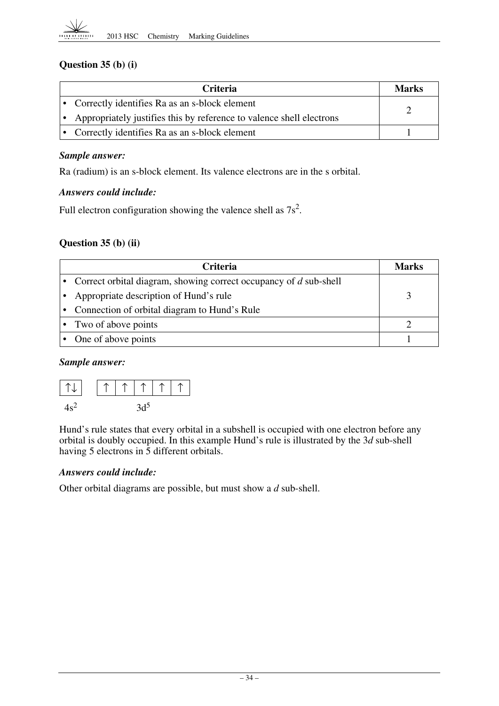## **Question 35 (b) (i)**

| <b>Criteria</b>                                                        | Marks |
|------------------------------------------------------------------------|-------|
| • Correctly identifies Ra as an s-block element                        |       |
| • Appropriately justifies this by reference to valence shell electrons |       |
| • Correctly identifies Ra as an s-block element                        |       |

#### *Sample answer:*

Ra (radium) is an s-block element. Its valence electrons are in the s orbital.

#### *Answers could include:*

Full electron configuration showing the valence shell as  $7s^2$ .

## **Question 35 (b) (ii)**

| <b>Criteria</b>                                                       | Marks |
|-----------------------------------------------------------------------|-------|
| • Correct orbital diagram, showing correct occupancy of $d$ sub-shell |       |
| Appropriate description of Hund's rule                                |       |
| Connection of orbital diagram to Hund's Rule                          |       |
| • Two of above points                                                 |       |
| One of above points                                                   |       |

#### *Sample answer:*



Hund's rule states that every orbital in a subshell is occupied with one electron before any orbital is doubly occupied. In this example Hund's rule is illustrated by the 3*d* sub-shell having 5 electrons in 5 different orbitals.

#### *Answers could include:*

Other orbital diagrams are possible, but must show a *d* sub-shell.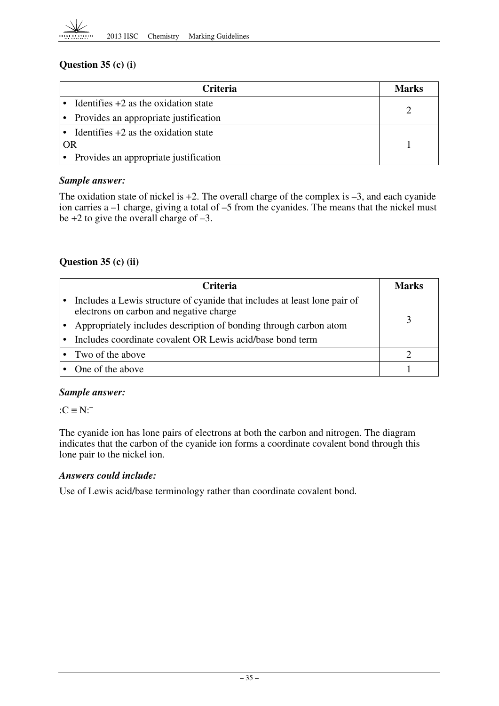## **Question 35 (c) (i)**

| <b>Criteria</b>                          | <b>Marks</b> |
|------------------------------------------|--------------|
| • Identifies $+2$ as the oxidation state |              |
| • Provides an appropriate justification  |              |
| • Identifies $+2$ as the oxidation state |              |
| <b>OR</b>                                |              |
| • Provides an appropriate justification  |              |

## *Sample answer:*

The oxidation state of nickel is  $+2$ . The overall charge of the complex is  $-3$ , and each cyanide ion carries a –1 charge, giving a total of –5 from the cyanides. The means that the nickel must be  $+2$  to give the overall charge of  $-3$ .

## **Question 35 (c) (ii)**

| <b>Criteria</b>                                                                                                        | Marks |
|------------------------------------------------------------------------------------------------------------------------|-------|
| • Includes a Lewis structure of cyanide that includes at least lone pair of<br>electrons on carbon and negative charge |       |
| Appropriately includes description of bonding through carbon atom                                                      |       |
| • Includes coordinate covalent OR Lewis acid/base bond term                                                            |       |
| • Two of the above                                                                                                     |       |
| • One of the above                                                                                                     |       |

## *Sample answer:*

 $:C \equiv N$ :

The cyanide ion has lone pairs of electrons at both the carbon and nitrogen. The diagram indicates that the carbon of the cyanide ion forms a coordinate covalent bond through this lone pair to the nickel ion.

## *Answers could include:*

Use of Lewis acid/base terminology rather than coordinate covalent bond.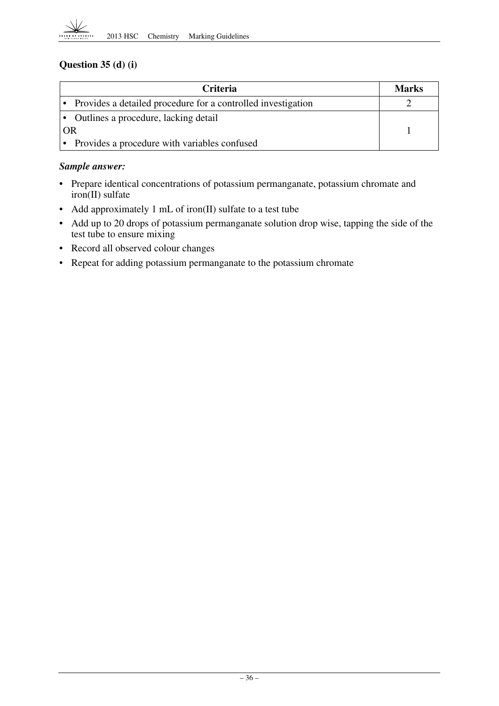## **Question 35 (d) (i)**

| Criteria                                                       | <b>Marks</b> |
|----------------------------------------------------------------|--------------|
| • Provides a detailed procedure for a controlled investigation |              |
| • Outlines a procedure, lacking detail                         |              |
| OR                                                             |              |
| • Provides a procedure with variables confused                 |              |

## *Sample answer:*

- Prepare identical concentrations of potassium permanganate, potassium chromate and iron(II) sulfate
- Add approximately 1 mL of iron(II) sulfate to a test tube
- • Add up to 20 drops of potassium permanganate solution drop wise, tapping the side of the test tube to ensure mixing
- Record all observed colour changes
- Repeat for adding potassium permanganate to the potassium chromate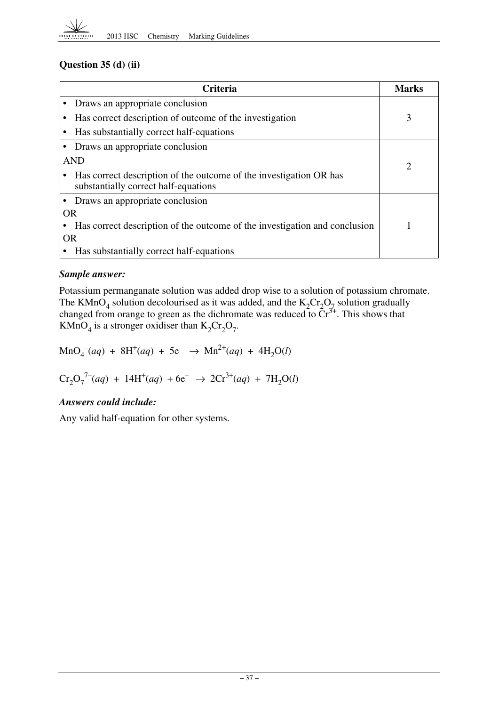

## **Question 35 (d) (ii)**

|           | <b>Criteria</b>                                                                                            | <b>Marks</b>   |
|-----------|------------------------------------------------------------------------------------------------------------|----------------|
|           | Draws an appropriate conclusion                                                                            |                |
|           | Has correct description of outcome of the investigation                                                    | 3              |
|           | Has substantially correct half-equations                                                                   |                |
|           | Draws an appropriate conclusion                                                                            |                |
|           | <b>AND</b>                                                                                                 | $\overline{c}$ |
|           | Has correct description of the outcome of the investigation OR has<br>substantially correct half-equations |                |
|           | Draws an appropriate conclusion                                                                            |                |
| <b>OR</b> |                                                                                                            |                |
|           | Has correct description of the outcome of the investigation and conclusion                                 |                |
| <b>OR</b> |                                                                                                            |                |
|           | Has substantially correct half-equations                                                                   |                |

## *Sample answer:*

Potassium permanganate solution was added drop wise to a solution of potassium chromate. The KMnO<sub>4</sub> solution decolourised as it was added, and the  $K_2Cr_2O_{7}$  solution gradually changed from orange to green as the dichromate was reduced to  $\tilde{C}r^{3+}$ . This shows that KMnO<sub>4</sub> is a stronger oxidiser than  $K_2Cr_2O_7$ .

 $\text{MnO}_4^-(aq) + 8\text{H}^+(aq) + 5\text{e}^- \rightarrow \text{Mn}^{2+}(aq) + 4\text{H}_2\text{O}(l)$ 

$$
\mathrm{Cr_2O_7}^{7-}(aq) + 14\mathrm{H}^+(aq) + 6\mathrm{e}^- \rightarrow 2\mathrm{Cr}^{3+}(aq) + 7\mathrm{H_2O}(l)
$$

## *Answers could include:*

Any valid half-equation for other systems.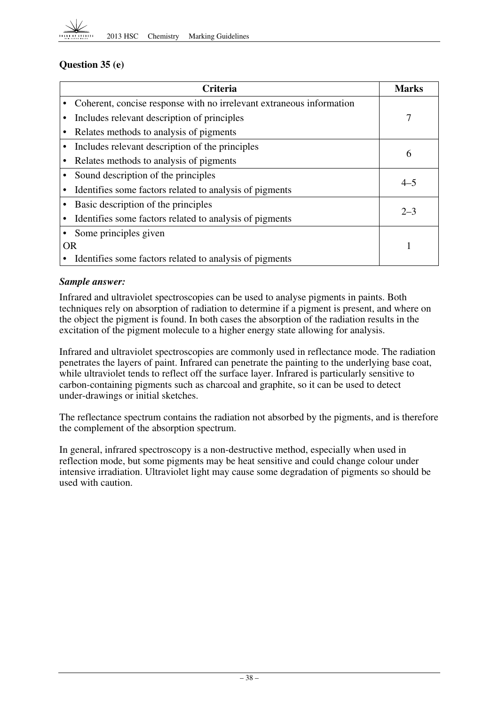

## **Question 35 (e)**

|    | <b>Criteria</b>                                                      | <b>Marks</b> |
|----|----------------------------------------------------------------------|--------------|
|    | Coherent, concise response with no irrelevant extraneous information |              |
|    | Includes relevant description of principles                          | 7            |
|    | Relates methods to analysis of pigments                              |              |
|    | Includes relevant description of the principles                      |              |
|    | Relates methods to analysis of pigments                              | 6            |
|    | Sound description of the principles                                  | $4 - 5$      |
|    | Identifies some factors related to analysis of pigments              |              |
|    | Basic description of the principles                                  | $2 - 3$      |
|    | Identifies some factors related to analysis of pigments              |              |
|    | Some principles given                                                |              |
| OR |                                                                      |              |
|    | Identifies some factors related to analysis of pigments              |              |

## *Sample answer:*

Infrared and ultraviolet spectroscopies can be used to analyse pigments in paints. Both techniques rely on absorption of radiation to determine if a pigment is present, and where on the object the pigment is found. In both cases the absorption of the radiation results in the excitation of the pigment molecule to a higher energy state allowing for analysis.

Infrared and ultraviolet spectroscopies are commonly used in reflectance mode. The radiation penetrates the layers of paint. Infrared can penetrate the painting to the underlying base coat, while ultraviolet tends to reflect off the surface layer. Infrared is particularly sensitive to carbon-containing pigments such as charcoal and graphite, so it can be used to detect under-drawings or initial sketches.

The reflectance spectrum contains the radiation not absorbed by the pigments, and is therefore the complement of the absorption spectrum.

In general, infrared spectroscopy is a non-destructive method, especially when used in reflection mode, but some pigments may be heat sensitive and could change colour under intensive irradiation. Ultraviolet light may cause some degradation of pigments so should be used with caution.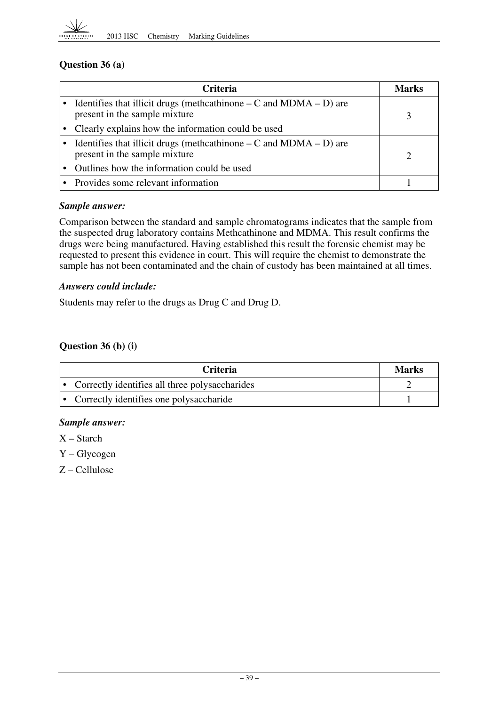

## **Question 36 (a)**

| <b>Criteria</b>                                                                                         | Marks |
|---------------------------------------------------------------------------------------------------------|-------|
| Identifies that illicit drugs (methcathinone $-C$ and $MDMA - D$ ) are<br>present in the sample mixture |       |
| Clearly explains how the information could be used                                                      |       |
| Identifies that illicit drugs (methcathinone $-C$ and MDMA $-D$ ) are<br>present in the sample mixture  | ာ     |
| Outlines how the information could be used                                                              |       |
| • Provides some relevant information                                                                    |       |

#### *Sample answer:*

Comparison between the standard and sample chromatograms indicates that the sample from the suspected drug laboratory contains Methcathinone and MDMA. This result confirms the drugs were being manufactured. Having established this result the forensic chemist may be requested to present this evidence in court. This will require the chemist to demonstrate the sample has not been contaminated and the chain of custody has been maintained at all times.

#### *Answers could include:*

Students may refer to the drugs as Drug C and Drug D.

## **Question 36 (b) (i)**

| <b>Criteria</b>                                  | <b>Marks</b> |
|--------------------------------------------------|--------------|
| • Correctly identifies all three polysaccharides |              |
| • Correctly identifies one polysaccharide        |              |

#### *Sample answer:*

- X Starch
- Y Glycogen
- Z Cellulose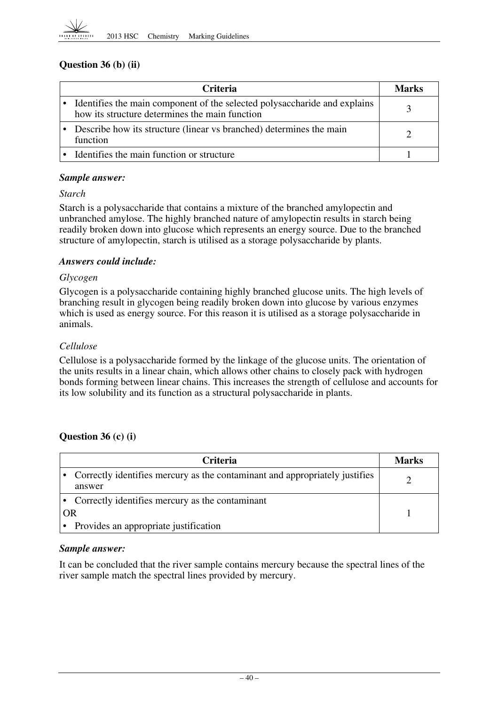## **Question 36 (b) (ii)**

| <b>Criteria</b>                                                                                                             | Marks |
|-----------------------------------------------------------------------------------------------------------------------------|-------|
| Identifies the main component of the selected polysaccharide and explains<br>how its structure determines the main function |       |
| Describe how its structure (linear vs branched) determines the main<br>function                                             |       |
| • Identifies the main function or structure                                                                                 |       |

#### *Sample answer:*

#### *Starch*

Starch is a polysaccharide that contains a mixture of the branched amylopectin and unbranched amylose. The highly branched nature of amylopectin results in starch being readily broken down into glucose which represents an energy source. Due to the branched structure of amylopectin, starch is utilised as a storage polysaccharide by plants.

## *Answers could include:*

#### *Glycogen*

Glycogen is a polysaccharide containing highly branched glucose units. The high levels of branching result in glycogen being readily broken down into glucose by various enzymes which is used as energy source. For this reason it is utilised as a storage polysaccharide in animals.

## *Cellulose*

Cellulose is a polysaccharide formed by the linkage of the glucose units. The orientation of the units results in a linear chain, which allows other chains to closely pack with hydrogen bonds forming between linear chains. This increases the strength of cellulose and accounts for its low solubility and its function as a structural polysaccharide in plants.

## **Question 36 (c) (i)**

|           | <b>Criteria</b>                                                                       | <b>Marks</b> |
|-----------|---------------------------------------------------------------------------------------|--------------|
|           | Correctly identifies mercury as the contaminant and appropriately justifies<br>answer |              |
|           | Correctly identifies mercury as the contaminant                                       |              |
| <b>OR</b> |                                                                                       |              |
|           | Provides an appropriate justification                                                 |              |

## *Sample answer:*

It can be concluded that the river sample contains mercury because the spectral lines of the river sample match the spectral lines provided by mercury.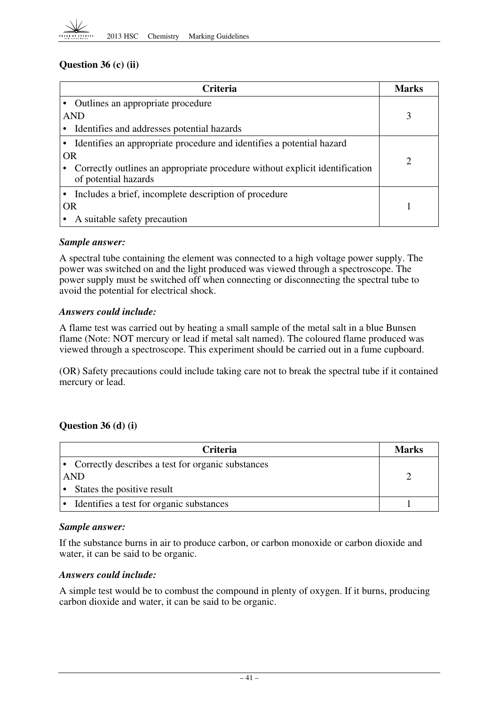## **Question 36 (c) (ii)**

| Criteria                                                                                            | <b>Marks</b>                |
|-----------------------------------------------------------------------------------------------------|-----------------------------|
| Outlines an appropriate procedure                                                                   |                             |
| <b>AND</b>                                                                                          | 3                           |
| Identifies and addresses potential hazards                                                          |                             |
| Identifies an appropriate procedure and identifies a potential hazard                               |                             |
| <b>OR</b>                                                                                           | $\mathcal{D}_{\mathcal{L}}$ |
| Correctly outlines an appropriate procedure without explicit identification<br>of potential hazards |                             |
| Includes a brief, incomplete description of procedure                                               |                             |
| <b>OR</b>                                                                                           |                             |
| A suitable safety precaution                                                                        |                             |

#### *Sample answer:*

A spectral tube containing the element was connected to a high voltage power supply. The power was switched on and the light produced was viewed through a spectroscope. The power supply must be switched off when connecting or disconnecting the spectral tube to avoid the potential for electrical shock.

#### *Answers could include:*

A flame test was carried out by heating a small sample of the metal salt in a blue Bunsen flame (Note: NOT mercury or lead if metal salt named). The coloured flame produced was viewed through a spectroscope. This experiment should be carried out in a fume cupboard.

(OR) Safety precautions could include taking care not to break the spectral tube if it contained mercury or lead.

## **Question 36 (d) (i)**

| <b>Criteria</b>                                     | <b>Marks</b> |
|-----------------------------------------------------|--------------|
| • Correctly describes a test for organic substances |              |
| AND                                                 |              |
| States the positive result                          |              |
| Identifies a test for organic substances            |              |

#### *Sample answer:*

If the substance burns in air to produce carbon, or carbon monoxide or carbon dioxide and water, it can be said to be organic.

#### *Answers could include:*

A simple test would be to combust the compound in plenty of oxygen. If it burns, producing carbon dioxide and water, it can be said to be organic.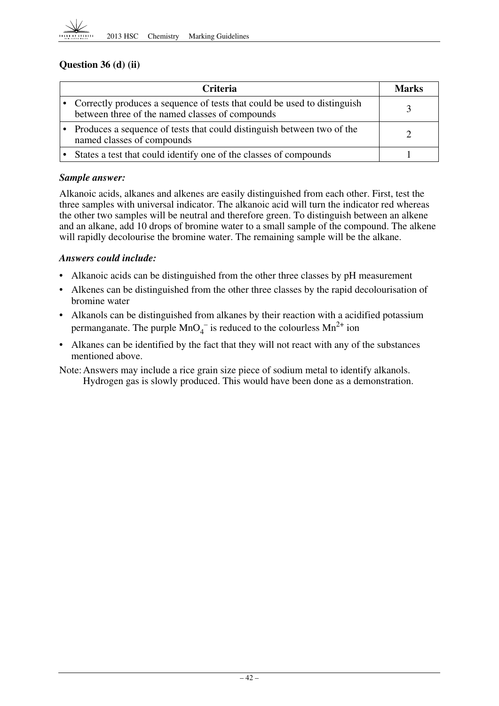

## **Question 36 (d) (ii)**

| <b>Criteria</b>                                                                                                               | Marks |  |  |
|-------------------------------------------------------------------------------------------------------------------------------|-------|--|--|
| • Correctly produces a sequence of tests that could be used to distinguish<br>between three of the named classes of compounds |       |  |  |
| Produces a sequence of tests that could distinguish between two of the<br>named classes of compounds                          |       |  |  |
| States a test that could identify one of the classes of compounds                                                             |       |  |  |

#### *Sample answer:*

Alkanoic acids, alkanes and alkenes are easily distinguished from each other. First, test the three samples with universal indicator. The alkanoic acid will turn the indicator red whereas the other two samples will be neutral and therefore green. To distinguish between an alkene and an alkane, add 10 drops of bromine water to a small sample of the compound. The alkene will rapidly decolourise the bromine water. The remaining sample will be the alkane.

#### *Answers could include:*

- Alkanoic acids can be distinguished from the other three classes by pH measurement
- Alkenes can be distinguished from the other three classes by the rapid decolourisation of bromine water
- • Alkanols can be distinguished from alkanes by their reaction with a acidified potassium permanganate. The purple  $MnO_4^-$  is reduced to the colourless  $Mn^{2+}$  ion
- • Alkanes can be identified by the fact that they will not react with any of the substances mentioned above.

Note: Answers may include a rice grain size piece of sodium metal to identify alkanols. Hydrogen gas is slowly produced. This would have been done as a demonstration.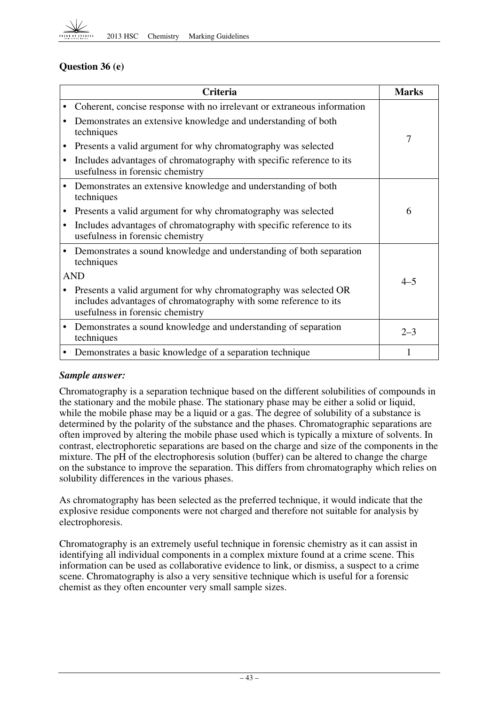

## **Question 36 (e)**

|            | Criteria                                                                                                                                                                 |         |  |  |  |
|------------|--------------------------------------------------------------------------------------------------------------------------------------------------------------------------|---------|--|--|--|
|            | Coherent, concise response with no irrelevant or extraneous information                                                                                                  |         |  |  |  |
|            | Demonstrates an extensive knowledge and understanding of both<br>techniques                                                                                              | 7       |  |  |  |
| $\bullet$  | Presents a valid argument for why chromatography was selected                                                                                                            |         |  |  |  |
| $\bullet$  | Includes advantages of chromatography with specific reference to its<br>usefulness in forensic chemistry                                                                 |         |  |  |  |
|            | Demonstrates an extensive knowledge and understanding of both<br>techniques                                                                                              |         |  |  |  |
| $\bullet$  | Presents a valid argument for why chromatography was selected                                                                                                            | 6       |  |  |  |
| $\bullet$  | Includes advantages of chromatography with specific reference to its<br>usefulness in forensic chemistry                                                                 |         |  |  |  |
| $\bullet$  | Demonstrates a sound knowledge and understanding of both separation<br>techniques                                                                                        |         |  |  |  |
| <b>AND</b> | $4 - 5$                                                                                                                                                                  |         |  |  |  |
| $\bullet$  | Presents a valid argument for why chromatography was selected OR<br>includes advantages of chromatography with some reference to its<br>usefulness in forensic chemistry |         |  |  |  |
| $\bullet$  | Demonstrates a sound knowledge and understanding of separation<br>techniques                                                                                             | $2 - 3$ |  |  |  |
| $\bullet$  | Demonstrates a basic knowledge of a separation technique                                                                                                                 |         |  |  |  |

#### *Sample answer:*

Chromatography is a separation technique based on the different solubilities of compounds in the stationary and the mobile phase. The stationary phase may be either a solid or liquid, while the mobile phase may be a liquid or a gas. The degree of solubility of a substance is determined by the polarity of the substance and the phases. Chromatographic separations are often improved by altering the mobile phase used which is typically a mixture of solvents. In contrast, electrophoretic separations are based on the charge and size of the components in the mixture. The pH of the electrophoresis solution (buffer) can be altered to change the charge on the substance to improve the separation. This differs from chromatography which relies on solubility differences in the various phases.

As chromatography has been selected as the preferred technique, it would indicate that the explosive residue components were not charged and therefore not suitable for analysis by electrophoresis.

Chromatography is an extremely useful technique in forensic chemistry as it can assist in identifying all individual components in a complex mixture found at a crime scene. This information can be used as collaborative evidence to link, or dismiss, a suspect to a crime scene. Chromatography is also a very sensitive technique which is useful for a forensic chemist as they often encounter very small sample sizes.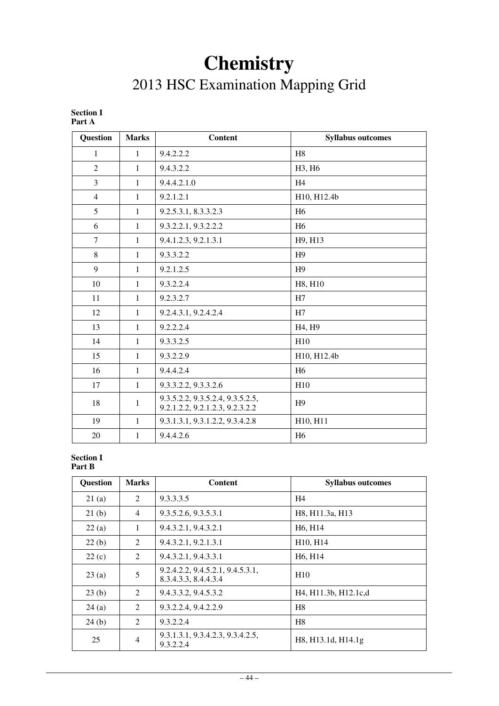# **Chemistry**

# 2013 HSC Examination Mapping Grid

| 1 ai t A        |              |                                                                     |                                 |
|-----------------|--------------|---------------------------------------------------------------------|---------------------------------|
| <b>Question</b> | <b>Marks</b> | <b>Content</b>                                                      | <b>Syllabus outcomes</b>        |
| 1               | 1            | 9.4.2.2.2                                                           | H <sub>8</sub>                  |
| $\overline{2}$  | $\mathbf{1}$ | 9.4.3.2.2                                                           | H3, H6                          |
| $\overline{3}$  | $\mathbf{1}$ | 9.4.4.2.1.0                                                         | H <sub>4</sub>                  |
| $\overline{4}$  | $\mathbf{1}$ | 9.2.1.2.1                                                           | H10, H12.4b                     |
| 5               | $\mathbf{1}$ | 9.2.5.3.1, 8.3.3.2.3                                                | H <sub>6</sub>                  |
| 6               | $\mathbf{1}$ | 9.3.2.2.1, 9.3.2.2.2                                                | H <sub>6</sub>                  |
| $\overline{7}$  | $\mathbf{1}$ | 9.4.1.2.3, 9.2.1.3.1                                                | H9, H13                         |
| 8               | 1            | 9.3.3.2.2                                                           | H <sub>9</sub>                  |
| 9               | $\mathbf{1}$ | 9.2.1.2.5                                                           | H <sup>9</sup>                  |
| 10              | $\mathbf{1}$ | 9.3.2.2.4                                                           | H8, H10                         |
| 11              | 1            | 9.2.3.2.7                                                           | H7                              |
| 12              | $\mathbf{1}$ | 9.2.4.3.1, 9.2.4.2.4                                                | H7                              |
| 13              | $\mathbf{1}$ | 9.2.2.2.4                                                           | H <sub>4</sub> , H <sub>9</sub> |
| 14              | $\mathbf{1}$ | 9.3.3.2.5                                                           | H10                             |
| 15              | $\mathbf{1}$ | 9.3.2.2.9                                                           | H10, H12.4b                     |
| 16              | $\mathbf{1}$ | 9.4.4.2.4                                                           | H <sub>6</sub>                  |
| 17              | $\mathbf{1}$ | 9.3.3.2.2, 9.3.3.2.6                                                | H10                             |
| 18              | $\mathbf{1}$ | 9.3.5.2.2, 9.3.5.2.4, 9.3.5.2.5,<br>9.2.1.2.2, 9.2.1.2.3, 9.2.3.2.2 | H9                              |
| 19              | $\mathbf{1}$ | 9.3.1.3.1, 9.3.1.2.2, 9.3.4.2.8                                     | H10, H11                        |
| 20              | $\mathbf{1}$ | 9.4.4.2.6                                                           | H <sub>6</sub>                  |

#### **Section I Part A**

#### **Section I Part B**

| <b>Question</b> | <b>Marks</b>   | <b>Content</b>                                           | <b>Syllabus outcomes</b>                                   |
|-----------------|----------------|----------------------------------------------------------|------------------------------------------------------------|
| 21(a)           | 2              | 9.3.3.3.5                                                | H4                                                         |
| 21(b)           | $\overline{4}$ | 9.3.5.2.6, 9.3.5.3.1                                     | H8, H11.3a, H13                                            |
| 22(a)           | $\mathbf{1}$   | 9.4.3.2.1, 9.4.3.2.1                                     | H <sub>6</sub> , H <sub>14</sub>                           |
| 22(b)           | 2              | 9.4.3.2.1, 9.2.1.3.1                                     | H <sub>10</sub> , H <sub>14</sub>                          |
| 22(c)           | 2              | 9.4.3.2.1, 9.4.3.3.1                                     | H <sub>6</sub> , H <sub>14</sub>                           |
| 23(a)           | 5              | 9.2.4.2.2, 9.4.5.2.1, 9.4.5.3.1,<br>8.3.4.3.3, 8.4.4.3.4 | H10                                                        |
| 23(b)           | $\mathcal{L}$  | 9.4.3.3.2, 9.4.5.3.2                                     | H <sub>4</sub> , H <sub>11.3b</sub> , H <sub>12.1c,d</sub> |
| 24(a)           | 2              | 9.3.2.2.4, 9.4.2.2.9                                     | H <sub>8</sub>                                             |
| 24(b)           | 2              | 9.3.2.2.4                                                | H <sub>8</sub>                                             |
| 25              | 4              | 9.3.1.3.1, 9.3.4.2.3, 9.3.4.2.5,<br>9.3.2.2.4            | H8, H13.1d, H14.1g                                         |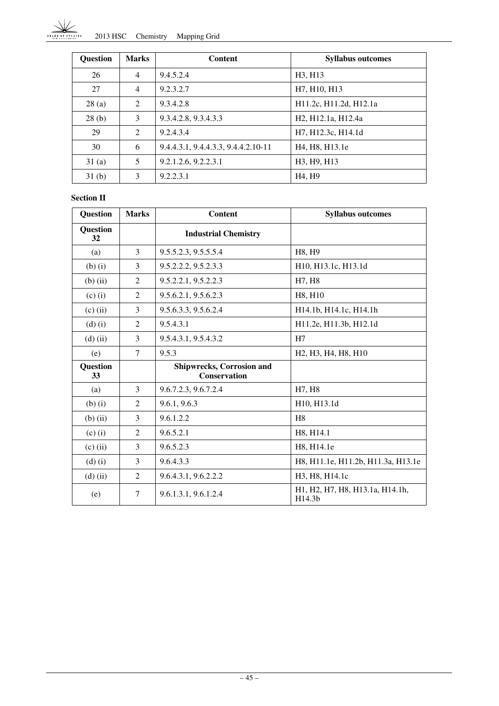Ì. 2013 HSC Chemistry Mapping Grid

| <b>Question</b> | <b>Marks</b>   | <b>Content</b>                      | <b>Syllabus outcomes</b>                                                              |
|-----------------|----------------|-------------------------------------|---------------------------------------------------------------------------------------|
| 26              | $\overline{4}$ | 9.4.5.2.4                           | H <sub>3</sub> , H <sub>13</sub>                                                      |
| 27              | $\overline{4}$ | 9.2.3.2.7                           | H7, H10, H13                                                                          |
| 28(a)           | 2              | 9.3.4.2.8                           | H <sub>11.2c</sub> , H <sub>11.2d</sub> , H <sub>12.1a</sub>                          |
| 28(b)           | 3              | 9.3.4.2.8, 9.3.4.3.3                | H <sub>2</sub> , H <sub>12</sub> , H <sub>12</sub> , H <sub>12</sub> , 4 <sub>a</sub> |
| 29              | 2              | 9.2.4.3.4                           | H7, H12.3c, H14.1d                                                                    |
| 30              | 6              | 9.4.4.3.1, 9.4.4.3.3, 9.4.4.2.10-11 | H <sub>4</sub> , H <sub>8</sub> , H <sub>13</sub> .1e                                 |
| 31(a)           | 5              | 9.2.1.2.6, 9.2.2.3.1                | H3, H9, H13                                                                           |
| 31(b)           | 3              | 9.2.2.3.1                           | H <sub>4</sub> , H <sub>9</sub>                                                       |

#### **Section II**

| <b>Question</b>       | <b>Marks</b>   | <b>Content</b>                                          | <b>Syllabus outcomes</b>                                                                                                                            |
|-----------------------|----------------|---------------------------------------------------------|-----------------------------------------------------------------------------------------------------------------------------------------------------|
| <b>Question</b><br>32 |                | <b>Industrial Chemistry</b>                             |                                                                                                                                                     |
| (a)                   | 3              | 9.5.5.2.3, 9.5.5.5.4                                    | H8, H9                                                                                                                                              |
| $(b)$ $(i)$           | 3              | 9.5.2.2.2, 9.5.2.3.3                                    | H <sub>10</sub> , H <sub>13.1c</sub> , H <sub>13.1d</sub>                                                                                           |
| $(b)$ (ii)            | $\overline{2}$ | 9.5.2.2.1, 9.5.2.2.3                                    | H7, H8                                                                                                                                              |
| $(c)$ $(i)$           | $\overline{2}$ | 9.5.6.2.1, 9.5.6.2.3                                    | H8, H10                                                                                                                                             |
| $(c)$ (ii)            | 3              | 9.5.6.3.3, 9.5.6.2.4                                    | H <sub>14.1</sub> b, H <sub>14.1</sub> c, H <sub>14.1</sub> h                                                                                       |
| $(d)$ $(i)$           | $\overline{2}$ | 9.5.4.3.1                                               | H11.2e, H11.3b, H12.1d                                                                                                                              |
| $(d)$ (ii)            | 3              | 9.5.4.3.1, 9.5.4.3.2                                    | H7                                                                                                                                                  |
| (e)                   | $\tau$         | 9.5.3                                                   | H <sub>2</sub> , H <sub>3</sub> , H <sub>4</sub> , H <sub>8</sub> , H <sub>10</sub>                                                                 |
| <b>Question</b><br>33 |                | <b>Shipwrecks, Corrosion and</b><br><b>Conservation</b> |                                                                                                                                                     |
| (a)                   | 3              | 9.6.7.2.3, 9.6.7.2.4                                    | H7, H8                                                                                                                                              |
| $(b)$ $(i)$           | 2              | 9.6.1, 9.6.3                                            | H <sub>10</sub> , H <sub>13.1d</sub>                                                                                                                |
| $(b)$ (ii)            | 3              | 9.6.1.2.2                                               | H <sub>8</sub>                                                                                                                                      |
| $(c)$ (i)             | 2              | 9.6.5.2.1                                               | H8, H14.1                                                                                                                                           |
| $(c)$ (ii)            | 3              | 9.6.5.2.3                                               | H8, H14.1e                                                                                                                                          |
| $(d)$ $(i)$           | 3              | 9.6.4.3.3                                               | H8, H11.1e, H11.2b, H11.3a, H13.1e                                                                                                                  |
| $(d)$ (ii)            | 2              | 9.6.4.3.1, 9.6.2.2.2                                    | H3, H8, H14.1c                                                                                                                                      |
| (e)                   | 7              | 9.6.1.3.1, 9.6.1.2.4                                    | H <sub>1</sub> , H <sub>2</sub> , H <sub>7</sub> , H <sub>8</sub> , H <sub>13</sub> , 1 <sub>a</sub> , H <sub>14</sub> , 1 <sub>h</sub> ,<br>H14.3b |